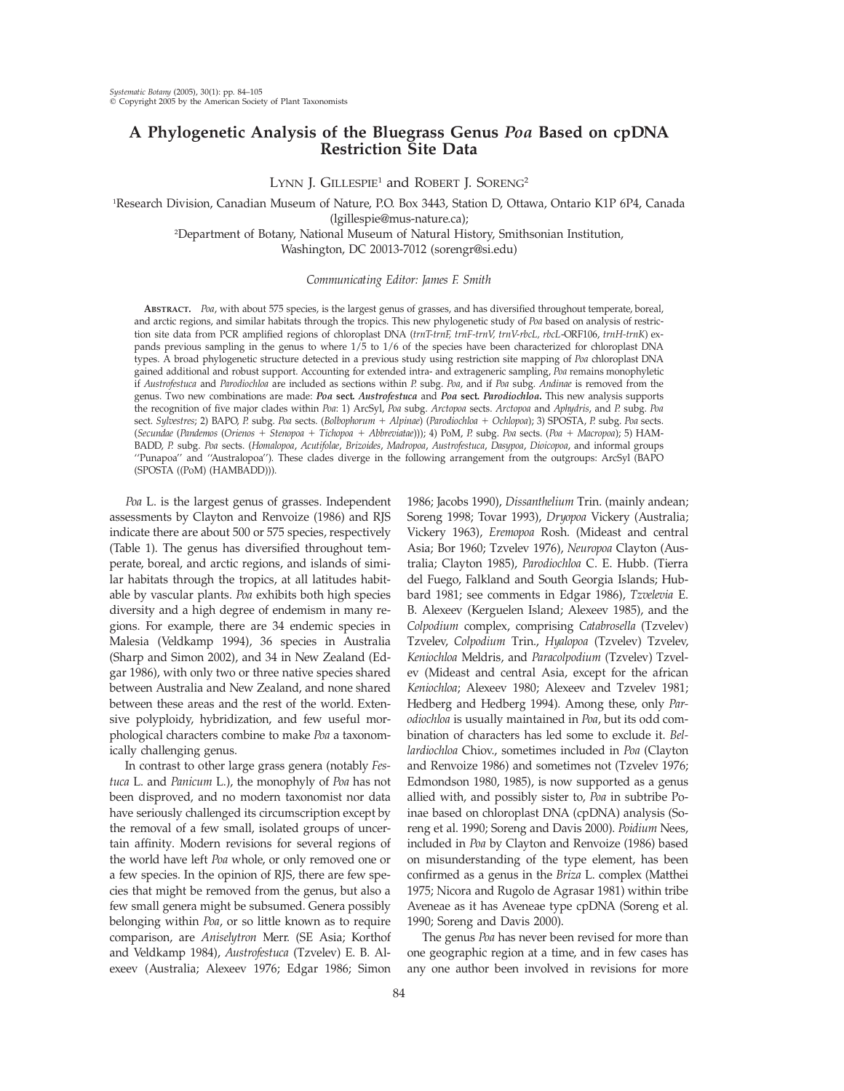# A Phylogenetic Analysis of the Bluegrass Genus Poa Based on cpDNA **Restriction Site Data**

LYNN J. GILLESPIE<sup>1</sup> and ROBERT J. SORENG<sup>2</sup>

<sup>1</sup>Research Division, Canadian Museum of Nature, P.O. Box 3443, Station D, Ottawa, Ontario K1P 6P4, Canada

(lgillespie@mus-nature.ca);

<sup>2</sup>Department of Botany, National Museum of Natural History, Smithsonian Institution, Washington, DC 20013-7012 (sorengr@si.edu)

Communicating Editor: James F. Smith

ABSTRACT. Poa, with about 575 species, is the largest genus of grasses, and has diversified throughout temperate, boreal, and arctic regions, and similar habitats through the tropics. This new phylogenetic study of Poa based on analysis of restriction site data from PCR amplified regions of chloroplast DNA (trnT-trnF, trnF-trnV, trnV-rbcL, rbcL-ORF106, trnH-trnK) expands previous sampling in the genus to where  $1/5$  to  $1/6$  of the species have been characterized for chloroplast DNA types. A broad phylogenetic structure detected in a previous study using restriction site mapping of Poa chloroplast DNA gained additional and robust support. Accounting for extended intra- and extrageneric sampling, Poa remains monophyletic if Austrofestuca and Parodiochloa are included as sections within P. subg. Poa, and if Poa subg. Andinae is removed from the genus. Two new combinations are made: Poa sect. Austrofestuca and Poa sect. Parodiochloa. This new analysis supports the recognition of five major clades within Poa: 1) ArcSyl, Poa subg. Arctopoa sects. Arctopoa and Aphydris, and P. subg. Poa sect. Sylvestres; 2) BAPO, P. subg. Poa sects. (Bolbophorum + Alpinae) (Parodiochloa + Ochlopoa); 3) SPOSTA, P. subg. Poa sects. (Secundae (Pandemos (Orienos + Stenopoa + Tichopoa + Abbreviatae))); 4) PoM, P. subg. Poa sects. (Poa + Macropoa); 5) HAM-BADD, P. subg. Poa sects. (Homalopoa, Acutifolae, Brizoides, Madropoa, Austrofestuca, Dasypoa, Dioicopoa, and informal groups "Punapoa" and "Australopoa"). These clades diverge in the following arrangement from the outgroups: ArcSyl (BAPO (SPOSTA ((PoM) (HAMBADD))).

Poa L. is the largest genus of grasses. Independent assessments by Clayton and Renvoize (1986) and RJS indicate there are about 500 or 575 species, respectively (Table 1). The genus has diversified throughout temperate, boreal, and arctic regions, and islands of similar habitats through the tropics, at all latitudes habitable by vascular plants. Poa exhibits both high species diversity and a high degree of endemism in many regions. For example, there are 34 endemic species in Malesia (Veldkamp 1994), 36 species in Australia (Sharp and Simon 2002), and 34 in New Zealand (Edgar 1986), with only two or three native species shared between Australia and New Zealand, and none shared between these areas and the rest of the world. Extensive polyploidy, hybridization, and few useful morphological characters combine to make Poa a taxonomically challenging genus.

In contrast to other large grass genera (notably Festuca L. and Panicum L.), the monophyly of Poa has not been disproved, and no modern taxonomist nor data have seriously challenged its circumscription except by the removal of a few small, isolated groups of uncertain affinity. Modern revisions for several regions of the world have left Poa whole, or only removed one or a few species. In the opinion of RJS, there are few species that might be removed from the genus, but also a few small genera might be subsumed. Genera possibly belonging within Poa, or so little known as to require comparison, are Aniselytron Merr. (SE Asia; Korthof and Veldkamp 1984), Austrofestuca (Tzvelev) E. B. Alexeev (Australia; Alexeev 1976; Edgar 1986; Simon

1986; Jacobs 1990), Dissanthelium Trin. (mainly andean; Soreng 1998; Tovar 1993), Dryopoa Vickery (Australia; Vickery 1963), Eremopoa Rosh. (Mideast and central Asia; Bor 1960; Tzvelev 1976), Neuropoa Clayton (Australia; Clayton 1985), Parodiochloa C. E. Hubb. (Tierra del Fuego, Falkland and South Georgia Islands; Hubbard 1981; see comments in Edgar 1986), Tzvelevia E. B. Alexeev (Kerguelen Island; Alexeev 1985), and the Colpodium complex, comprising Catabrosella (Tzvelev) Tzvelev, Colpodium Trin., Hyalopoa (Tzvelev) Tzvelev, Keniochloa Meldris, and Paracolpodium (Tzvelev) Tzvelev (Mideast and central Asia, except for the african Keniochloa; Alexeev 1980; Alexeev and Tzvelev 1981; Hedberg and Hedberg 1994). Among these, only Parodiochloa is usually maintained in Poa, but its odd combination of characters has led some to exclude it. Bellardiochloa Chiov., sometimes included in Poa (Clayton and Renvoize 1986) and sometimes not (Tzvelev 1976; Edmondson 1980, 1985), is now supported as a genus allied with, and possibly sister to, Poa in subtribe Poinae based on chloroplast DNA (cpDNA) analysis (Soreng et al. 1990; Soreng and Davis 2000). Poidium Nees, included in Poa by Clayton and Renvoize (1986) based on misunderstanding of the type element, has been confirmed as a genus in the Briza L. complex (Matthei 1975; Nicora and Rugolo de Agrasar 1981) within tribe Aveneae as it has Aveneae type cpDNA (Soreng et al. 1990; Soreng and Davis 2000).

The genus Poa has never been revised for more than one geographic region at a time, and in few cases has any one author been involved in revisions for more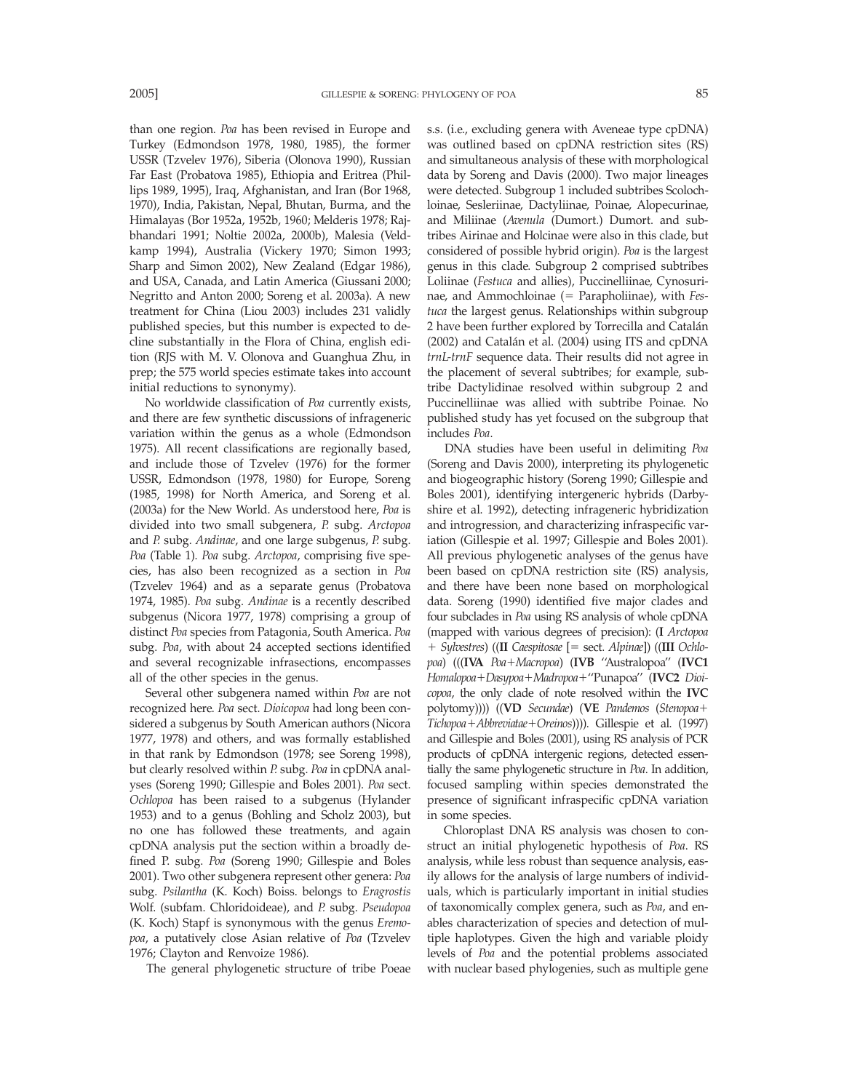than one region. Poa has been revised in Europe and Turkey (Edmondson 1978, 1980, 1985), the former USSR (Tzvelev 1976), Siberia (Olonova 1990), Russian Far East (Probatova 1985), Ethiopia and Eritrea (Phillips 1989, 1995), Iraq, Afghanistan, and Iran (Bor 1968, 1970), India, Pakistan, Nepal, Bhutan, Burma, and the Himalayas (Bor 1952a, 1952b, 1960; Melderis 1978; Rajbhandari 1991; Noltie 2002a, 2000b), Malesia (Veldkamp 1994), Australia (Vickery 1970; Simon 1993; Sharp and Simon 2002), New Zealand (Edgar 1986), and USA, Canada, and Latin America (Giussani 2000; Negritto and Anton 2000; Soreng et al. 2003a). A new treatment for China (Liou 2003) includes 231 validly published species, but this number is expected to decline substantially in the Flora of China, english edition (RJS with M. V. Olonova and Guanghua Zhu, in prep; the 575 world species estimate takes into account initial reductions to synonymy).

No worldwide classification of Poa currently exists, and there are few synthetic discussions of infrageneric variation within the genus as a whole (Edmondson 1975). All recent classifications are regionally based, and include those of Tzvelev (1976) for the former USSR, Edmondson (1978, 1980) for Europe, Soreng (1985, 1998) for North America, and Soreng et al. (2003a) for the New World. As understood here, Poa is divided into two small subgenera, P. subg. Arctopoa and P. subg. Andinae, and one large subgenus, P. subg. Poa (Table 1). Poa subg. Arctopoa, comprising five species, has also been recognized as a section in Poa (Tzvelev 1964) and as a separate genus (Probatova 1974, 1985). Poa subg. Andinae is a recently described subgenus (Nicora 1977, 1978) comprising a group of distinct Poa species from Patagonia, South America. Poa subg. Poa, with about 24 accepted sections identified and several recognizable infrasections, encompasses all of the other species in the genus.

Several other subgenera named within Poa are not recognized here. Poa sect. Dioicopoa had long been considered a subgenus by South American authors (Nicora 1977, 1978) and others, and was formally established in that rank by Edmondson (1978; see Soreng 1998), but clearly resolved within P. subg. Poa in cpDNA analyses (Soreng 1990; Gillespie and Boles 2001). Poa sect. Ochlopoa has been raised to a subgenus (Hylander 1953) and to a genus (Bohling and Scholz 2003), but no one has followed these treatments, and again cpDNA analysis put the section within a broadly defined P. subg. Poa (Soreng 1990; Gillespie and Boles 2001). Two other subgenera represent other genera: Poa subg. Psilantha (K. Koch) Boiss. belongs to Eragrostis Wolf. (subfam. Chloridoideae), and P. subg. Pseudopoa (K. Koch) Stapf is synonymous with the genus Eremopoa, a putatively close Asian relative of Poa (Tzvelev 1976; Clayton and Renvoize 1986).

The general phylogenetic structure of tribe Poeae

s.s. (i.e., excluding genera with Aveneae type cpDNA) was outlined based on cpDNA restriction sites (RS) and simultaneous analysis of these with morphological data by Soreng and Davis (2000). Two major lineages were detected. Subgroup 1 included subtribes Scolochloinae, Sesleriinae, Dactyliinae, Poinae, Alopecurinae, and Miliinae (Avenula (Dumort.) Dumort. and subtribes Airinae and Holcinae were also in this clade, but considered of possible hybrid origin). Poa is the largest genus in this clade. Subgroup 2 comprised subtribes Loliinae (Festuca and allies), Puccinelliinae, Cynosurinae, and Ammochloinae (= Parapholiinae), with Festuca the largest genus. Relationships within subgroup 2 have been further explored by Torrecilla and Catalán (2002) and Catalán et al. (2004) using ITS and cpDNA trnL-trnF sequence data. Their results did not agree in the placement of several subtribes; for example, subtribe Dactylidinae resolved within subgroup 2 and Puccinelliinae was allied with subtribe Poinae. No published study has yet focused on the subgroup that includes Poa.

DNA studies have been useful in delimiting Poa (Soreng and Davis 2000), interpreting its phylogenetic and biogeographic history (Soreng 1990; Gillespie and Boles 2001), identifying intergeneric hybrids (Darbyshire et al. 1992), detecting infrageneric hybridization and introgression, and characterizing infraspecific variation (Gillespie et al. 1997; Gillespie and Boles 2001). All previous phylogenetic analyses of the genus have been based on cpDNA restriction site (RS) analysis, and there have been none based on morphological data. Soreng (1990) identified five major clades and four subclades in Poa using RS analysis of whole cpDNA (mapped with various degrees of precision): (I Arctopoa + Sylvestres) ((II Caespitosae [= sect. Alpinae]) ((III Ochlopoa) (((IVA Poa+Macropoa) (IVB "Australopoa" (IVC1 Homalopoa+Dasypoa+Madropoa+"Punapoa" (IVC2 Dioicopoa, the only clade of note resolved within the IVC polytomy)))) ((VD Secundae) (VE Pandemos (Stenopoa+ Tichopoa+Abbreviatae+Oreinos)))). Gillespie et al. (1997) and Gillespie and Boles (2001), using RS analysis of PCR products of cpDNA intergenic regions, detected essentially the same phylogenetic structure in Poa. In addition, focused sampling within species demonstrated the presence of significant infraspecific cpDNA variation in some species.

Chloroplast DNA RS analysis was chosen to construct an initial phylogenetic hypothesis of Poa. RS analysis, while less robust than sequence analysis, easily allows for the analysis of large numbers of individuals, which is particularly important in initial studies of taxonomically complex genera, such as Poa, and enables characterization of species and detection of multiple haplotypes. Given the high and variable ploidy levels of Poa and the potential problems associated with nuclear based phylogenies, such as multiple gene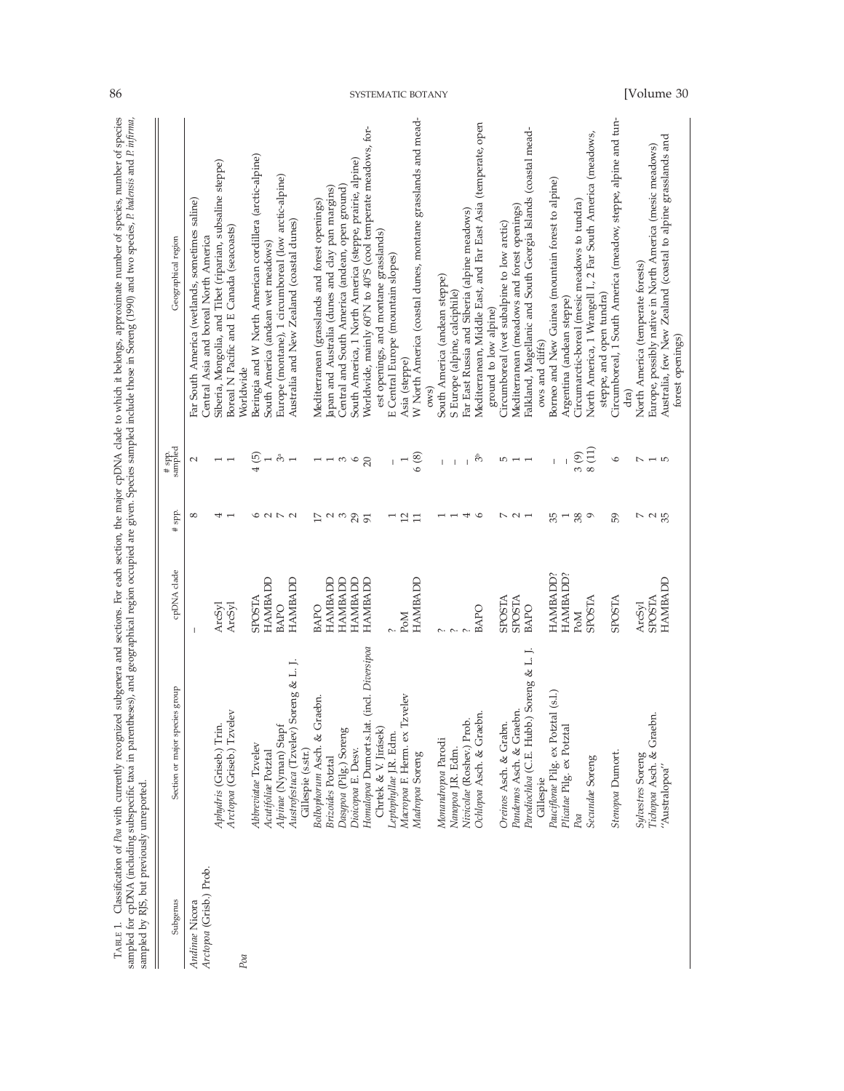| sampled by RJS, but previously unreported |                                               |                         |                          |                                              |                                                                                               |
|-------------------------------------------|-----------------------------------------------|-------------------------|--------------------------|----------------------------------------------|-----------------------------------------------------------------------------------------------|
| Subgenus                                  | Section or major species group                | cpDNA clade             | spp.<br>#                | $#$ spp.<br>sampled                          | Geographical region                                                                           |
| Andinae Nicora                            |                                               |                         | $\infty$                 | $\sim$                                       | sometimes saline<br>Far South America (wetlands,                                              |
| Arctopoa (Grisb.) Prob.                   |                                               |                         |                          |                                              | Central Asia and boreal North America                                                         |
|                                           | Aphudris (Griseb.) Trin.                      | ArcSyl                  | 4                        |                                              | Siberia, Mongolia, and Tibet (riparian, subsaline steppe)                                     |
|                                           | Arctopaa (Griseb.) Tzvelev                    | ArcSyl                  | $\overline{ }$           | $\overline{ }$                               | Boreal N Pacific and E Canada (seacoasts)                                                     |
| Poa                                       |                                               |                         |                          |                                              | Worldwide                                                                                     |
|                                           | Abbreviatae Tzvelev                           | <b>SPOSTA</b>           |                          | 4                                            | Beringia and W North American cordillera (arctic-alpine)                                      |
|                                           | Acutifoliae Potztal                           | HAMBADD                 | 6272                     | $\overline{\odot}$ – $\stackrel{a}{\circ}$ – | South America (andean wet meadows)                                                            |
|                                           | Alpinae (Nyman) Stapf                         | <b>BAPO</b>             |                          |                                              | Europe (montane), 1 circumboreal (low arctic-alpine)                                          |
|                                           | Austrofestuca (Tzvelev) Soreng & L. J.        | HAMBADD                 |                          |                                              | Australia and New Zealand (coastal dunes)                                                     |
|                                           | Gillespie (s.str.)                            |                         |                          |                                              |                                                                                               |
|                                           |                                               |                         |                          |                                              |                                                                                               |
|                                           | Graebn.<br>Bolbophorum Asch. &                | <b>BAPO</b>             | $\overline{17}$          |                                              | Mediterranean (grasslands and forest openings)                                                |
|                                           | Brizoides Potztal                             | HAMBADD                 | $\sim$                   | $- 0$                                        | Japan and Australia (dunes and clay pan margins)                                              |
|                                           | Dasypoa (Pilg.) Soreng                        | HAMBADD                 | S                        |                                              | Central and South America (andean, open ground)                                               |
|                                           | Dioicopoa E. Desv.                            | HAMBADD                 | 29                       |                                              | South America, 1 North America (steppe, prairie, alpine)                                      |
|                                           | Homalopoa Dumort.s.lat. (incl. Diversipoa     | HAMBADD                 | 51                       | $\Omega$                                     | Worldwide, mainly 60°N to 40°S (cool temperate meadows, for-                                  |
|                                           | Chrtek & V. Jirásek)                          |                         |                          |                                              | est openings, and montane grasslands)                                                         |
|                                           | Leptophyllae J.R. Edm.                        |                         | $\overline{ }$           |                                              | E Central Europe (mountain slopes)                                                            |
|                                           | Tzvelev<br>Macropoa F. Herm. ex               | PoM                     | 12                       |                                              |                                                                                               |
|                                           |                                               |                         |                          |                                              | Asia (steppe)                                                                                 |
|                                           | Madropoa Soreng                               | HAMBADD                 | $\Box$                   | 6(8)                                         | W North America (coastal dunes, montane grasslands and mead-                                  |
|                                           |                                               |                         |                          |                                              | (WS)                                                                                          |
|                                           | Monandropoa Parodi                            |                         |                          | $\mathbf{I}$                                 | South America (andean steppe)                                                                 |
|                                           | Nanopoa J.R. Edm.                             |                         |                          | $\mathbf{I}$                                 | S Europe (alpine, calciphile)                                                                 |
|                                           | Nivicolae (Roshev.) Prob.                     |                         | 4                        |                                              | Far East Russia and Siberia (alpine meadows)                                                  |
|                                           | Ochlopoa Asch. & Graebn.                      | <b>BAPO</b>             | $\circ$                  | $\hat{\vec{c}}$                              | Mediterranean, Middle East, and Far East Asia (temperate, open                                |
|                                           |                                               |                         |                          |                                              | ground to low alpine)                                                                         |
|                                           | Oreinos Asch. & Grabn.                        | <b>SPOSTA</b>           |                          |                                              | Circumboreal (wet subalpine to low arctic)                                                    |
|                                           | Pandemos Asch. & Graebn.                      | <b>SPOSTA</b>           |                          |                                              | Mediterranean (meadows and forest openings)                                                   |
|                                           | Parodiochloa (C.E. Hubb.) Soreng & L. J.      | <b>BAPO</b>             | $\sim \sim$ $-$          | $D \rightarrow D$                            | Falkland, Magellanic and South Georgia Islands (coastal mead-                                 |
|                                           | Gillespie                                     |                         |                          |                                              | ows and cliffs)                                                                               |
|                                           | Pauciflorae Pilg. ex Potztal (s.l.)           | HAMBADD?                | 35                       |                                              | Borneo and New Guinea (mountain forest to alpine)                                             |
|                                           | Plicatae Pilg. ex Potztal                     | HAMBADD?                | $\overline{\phantom{a}}$ |                                              | Argentina (andean steppe)                                                                     |
|                                           | Poa                                           | PoM                     | $38\,$                   | $\circledcirc$                               | Circumarctic-boreal (mesic meadows to tundra)                                                 |
|                                           |                                               | <b>SPOSTA</b>           | $\circ$                  | (11)<br>$\infty$                             |                                                                                               |
|                                           | Secundae Soreng                               |                         |                          |                                              | North America, 1 Wrangell I., 2 Far South America (meadows,                                   |
|                                           |                                               |                         |                          |                                              | steppe, and open tundra)                                                                      |
|                                           | Stenopoa Dumort.                              | <b>SPOSTA</b>           | 59                       | $\circ$                                      | Circumboreal, 1 South America (meadow, steppe, alpine and tun-                                |
|                                           |                                               |                         |                          |                                              | dra)                                                                                          |
|                                           | Tichopoa Asch. & Graebn.<br>Sylvestres Soreng | <b>SPOSTA</b><br>ArcSyl |                          | $\sim$                                       | Europe, possibly native in North America (mesic meadows)<br>North America (temperate forests) |
|                                           | ''Australopoa''                               | <b>HAMBADD</b>          | $\frac{5}{3}$            | $\frac{1}{2}$                                | Australia, few New Zealand (coastal to alpine grasslands and                                  |
|                                           |                                               |                         |                          |                                              | forest openings)                                                                              |
|                                           |                                               |                         |                          |                                              |                                                                                               |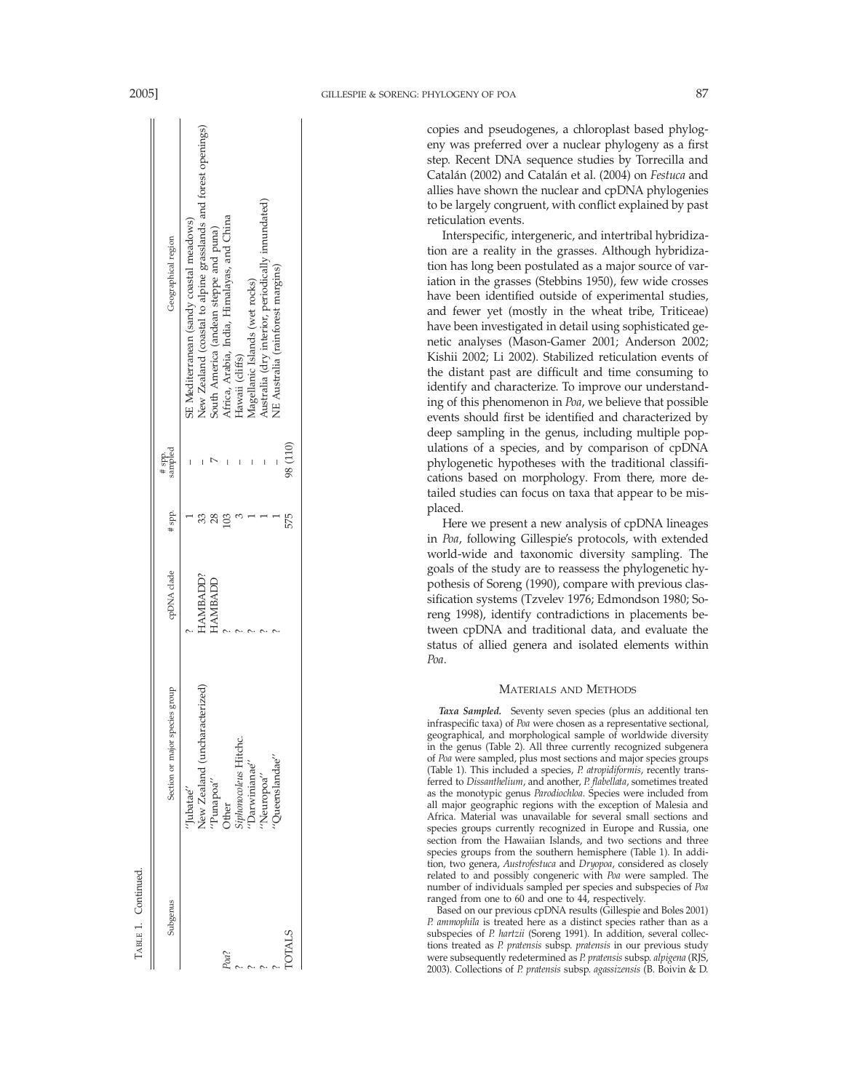| Subgenus     | Section or major species group | cpDNA clade    | # spp. | # spp.<br>sampled | Geographical region                                            |
|--------------|--------------------------------|----------------|--------|-------------------|----------------------------------------------------------------|
|              |                                |                |        |                   |                                                                |
|              | Jubatae''                      |                |        |                   | <b>EE</b> Mediterranean (sandy coastal meadows)                |
|              | Jew Zealand (uncharacterized)  | HAMBADD?       |        |                   | New Zealand (coastal to alpine grasslands and forest openings) |
|              |                                | <b>HAMBADD</b> |        |                   | South America (andean steppe and puna)                         |
| Poa?         | "Punapoa"<br>Other             |                |        |                   | Africa, Arabia, India, Himalayas, and China                    |
|              | iphonocoleus Hitchc            |                |        |                   | Jawaii (cliffs)                                                |
|              | Jarwinianae"                   |                |        |                   | Aagellanic Islands (wet rocks)                                 |
|              | Neuropoa''                     |                |        |                   | ustralia (dry interior, periodically innundated)               |
|              | )ueenslandae''                 |                |        |                   | <b>JE</b> Australia (rainforest margins)                       |
| <b>OTALS</b> |                                |                | 575    | 98 (110)          |                                                                |

TABLE 1. Continued.

copies and pseudogenes, a chloroplast based phylogeny was preferred over a nuclear phylogeny as a first step. Recent DNA sequence studies by Torrecilla and Catalán (2002) and Catalán et al. (2004) on Festuca and allies have shown the nuclear and cpDNA phylogenies to be largely congruent, with conflict explained by past reticulation events.

Interspecific, intergeneric, and intertribal hybridization are a reality in the grasses. Although hybridization has long been postulated as a major source of variation in the grasses (Stebbins 1950), few wide crosses have been identified outside of experimental studies, and fewer yet (mostly in the wheat tribe, Triticeae) have been investigated in detail using sophisticated genetic analyses (Mason-Gamer 2001; Anderson 2002; Kishii 2002; Li 2002). Stabilized reticulation events of the distant past are difficult and time consuming to identify and characterize. To improve our understanding of this phenomenon in Poa, we believe that possible events should first be identified and characterized by deep sampling in the genus, including multiple populations of a species, and by comparison of cpDNA phylogenetic hypotheses with the traditional classifications based on morphology. From there, more detailed studies can focus on taxa that appear to be misplaced.

Here we present a new analysis of cpDNA lineages in Poa, following Gillespie's protocols, with extended world-wide and taxonomic diversity sampling. The goals of the study are to reassess the phylogenetic hypothesis of Soreng (1990), compare with previous classification systems (Tzvelev 1976; Edmondson 1980; Soreng 1998), identify contradictions in placements between cpDNA and traditional data, and evaluate the status of allied genera and isolated elements within  $P<sub>0a</sub>$ 

# **MATERIALS AND METHODS**

Taxa Sampled. Seventy seven species (plus an additional ten infraspecific taxa) of Poa were chosen as a representative sectional, geographical, and morphological sample of worldwide diversity in the genus (Table 2). All three currently recognized subgenera of Poa were sampled, plus most sections and major species groups (Table 1). This included a species, P. atropidiformis, recently transferred to Dissanthelium, and another, P. flabellata, sometimes treated as the monotypic genus Parodiochloa. Species were included from all major geographic regions with the exception of Malesia and Africa. Material was unavailable for several small sections and species groups currently recognized in Europe and Russia, one section from the Hawaiian Islands, and two sections and three species groups from the southern hemisphere (Table 1). In addition, two genera, Austrofestuca and Dryopoa, considered as closely related to and possibly congeneric with Poa were sampled. The number of individuals sampled per species and subspecies of Poa ranged from one to 60 and one to 44, respectively.

Based on our previous cpDNA results (Gillespie and Boles 2001) P. ammophila is treated here as a distinct species rather than as a subspecies of P. hartzii (Soreng 1991). In addition, several collections treated as P. pratensis subsp. pratensis in our previous study were subsequently redetermined as P. pratensis subsp. alpigena (RJS, 2003). Collections of P. pratensis subsp. agassizensis (B. Boivin & D.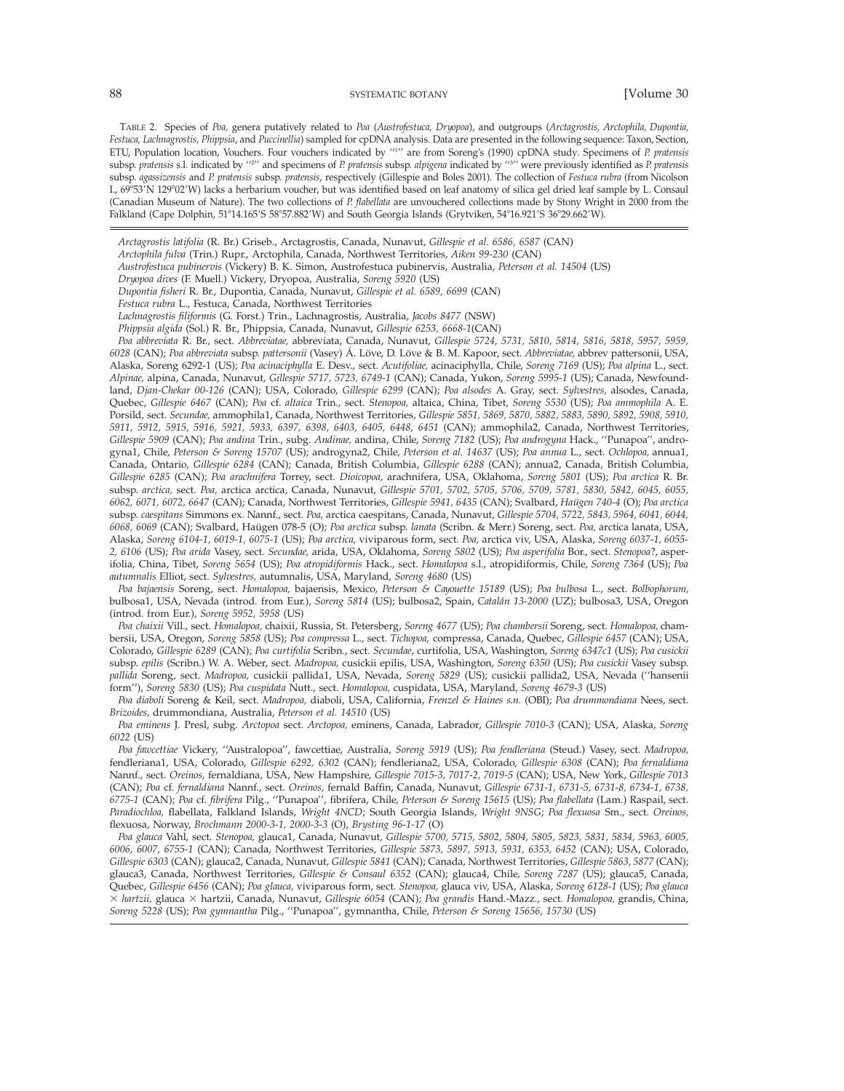TABLE 2. Species of Poa, genera putatively related to Poa (Austrofestuca, Dryopoa), and outgroups (Arctagrostis, Arctophila, Dupontia, Festuca, Lachnagrostis, Phippsia, and Puccinellia) sampled for cpDNA analysis. Data are presented in the following sequence: Taxon, Section, ETU, Population location, Vouchers. Four vouchers indicated by "1" are from Soreng's (1990) cpDNA study. Specimens of P. pratensis subsp. pratensis s.l. indicated by "2" and specimens of P. pratensis subsp. alpigena indicated by "3" were previously identified as P. pratensis subsp. agassizensis and P. pratensis subsp. pratensis, respectively (Gillespie and Boles 2001). The collection of Festuca rubra (from Nicolson I., 69°53'N 129°02'W) lacks a herbarium voucher, but was identified based on leaf anatomy of silica gel dried leaf sample by L. Consaul (Canadian Museum of Nature). The two collections of P. flabellata are unvouchered collections made by Stony Wright in 2000 from the Falkland (Cape Dolphin, 51°14.165'S 58°57.882'W) and South Georgia Islands (Grytviken, 54°16.921'S 36°29.662'W).

Arctagrostis latifolia (R. Br.) Griseb., Arctagrostis, Canada, Nunavut, Gillespie et al. 6586, 6587 (CAN)

Arctophila fulva (Trin.) Rupr., Arctophila, Canada, Northwest Territories, Aiken 99-230 (CAN)

Austrofestuca pubinervis (Vickery) B. K. Simon, Austrofestuca pubinervis, Australia, Peterson et al. 14504 (US)

Dryopoa dives (F. Muell.) Vickery, Dryopoa, Australia, Soreng 5920 (US)

Dupontia fisheri R. Br., Dupontia, Canada, Nunavut, Gillespie et al. 6589, 6699 (CAN)

Festuca rubra L., Festuca, Canada, Northwest Territories

Lachnagrostis filiformis (G. Forst.) Trin., Lachnagrostis, Australia, Jacobs 8477 (NSW)

Phippsia algida (Sol.) R. Br., Phippsia, Canada, Nunavut, Gillespie 6253, 6668-1(CAN)

Poa abbreviata R. Br., sect. Abbreviatae, abbreviata, Canada, Nunavut, Gillespie 5724, 5731, 5810, 5814, 5816, 5818, 5957, 5959, 6028 (CAN); Poa abbreviata subsp. pattersonii (Vasey) Á. Löve, D. Löve & B. M. Kapoor, sect. Abbreviatae, abbrev pattersonii, USA, Alaska, Soreng 6292-1 (US); Poa acinaciphylla E. Desv., sect. Acutifoliae, acinaciphylla, Chile, Soreng 7169 (US); Poa alpina L., sect. Alpinae, alpina, Canada, Nunavut, Gillespie 5717, 5723, 6749-1 (CAN); Canada, Yukon, Soreng 5995-1 (US); Canada, Newfoundland, Djan-Chekar 00-126 (CAN); USA, Colorado, Gillespie 6299 (CAN); Poa alsodes A. Gray, sect. Sylvestres, alsodes, Canada, Quebec, Gillespie 6467 (CAN); Poa cf. altaica Trin., sect. Stenopoa, altaica, China, Tibet, Soreng 5530 (US); Poa ammophila A. E. Porsild, sect. Secundae, ammophila1, Canada, Northwest Territories, Gillespie 5851, 5869, 5870, 5882, 5883, 5890, 5892, 5908, 5910, 5911, 5912, 5915, 5916, 5921, 5933, 6397, 6398, 6403, 6405, 6448, 6451 (CAN); ammophila2, Canada, Northwest Territories, Gillespie 5909 (CAN); Poa andina Trin., subg. Andinae, andina, Chile, Soreng 7182 (US); Poa androgyna Hack., "Punapoa", androgyna1, Chile, Peterson & Soreng 15707 (US); androgyna2, Chile, Peterson et al. 14637 (US); Poa annua L., sect. Ochlopoa, annua1, Canada, Ontario, Gillespie 6284 (CAN); Canada, British Columbia, Gillespie 6288 (CAN); annua2, Canada, British Columbia, Gillespie 6285 (CAN); Poa arachnifera Torrey, sect. Dioicopoa, arachnifera, USA, Oklahoma, Soreng 5801 (US); Poa arctica R. Br. subsp. arctica, sect. Poa, arctica arctica, Canada, Nunavut, Gillespie 5701, 5702, 5705, 5706, 5709, 5781, 5830, 5842, 6045, 6055, 6062, 6071, 6072, 6647 (CAN); Canada, Northwest Territories, Gillespie 5941, 6435 (CAN); Svalbard, Haügen 740-4 (O); Poa arctica subsp. caespitans Simmons ex. Nannf., sect. Poa, arctica caespitans, Canada, Nunavut, Gillespie 5704, 5722, 5843, 5964, 6041, 6044, 6068, 6069 (CAN); Svalbard, Haügen 078-5 (O); Poa arctica subsp. lanata (Scribn. & Merr.) Soreng, sect. Poa, arctica lanata, USA, Alaska, Soreng 6104-1, 6019-1, 6075-1 (US); Poa arctica, viviparous form, sect. Poa, arctica viv, USA, Alaska, Soreng 6037-1, 6055-2, 6106 (US); Poa arida Vasey, sect. Secundae, arida, USA, Oklahoma, Soreng 5802 (US); Poa asperifolia Bor., sect. Stenopoa?, asperifolia, China, Tibet, Soreng 5654 (US); Poa atropidiformis Hack., sect. Homalopoa s.l., atropidiformis, Chile, Soreng 7364 (US); Poa autumnalis Elliot, sect. Sylvestres, autumnalis, USA, Maryland, Soreng 4680 (US)

Poa bajaensis Soreng, sect. Homalopoa, bajaensis, Mexico, Peterson & Cayouette 15189 (US); Poa bulbosa L., sect. Bolbophorum, bulbosa1, USA, Nevada (introd. from Eur.), Soreng 5814 (US); bulbosa2, Spain, Catalán 13-2000 (UZ); bulbosa3, USA, Oregon (introd. from Eur.), Soreng 5952, 5958 (US)

Poa chaixii Vill., sect. Homalopoa, chaixii, Russia, St. Petersberg, Soreng 4677 (US); Poa chambersii Soreng, sect. Homalopoa, chambersii, USA, Oregon, Soreng 5858 (US); Poa compressa L., sect. Tichopoa, compressa, Canada, Quebec, Gillespie 6457 (CAN); USA, Colorado, Gillespie 6289 (CAN); Poa curtifolia Scribn., sect. Secundae, curtifolia, USA, Washington, Soreng 6347c1 (US); Poa cusickii subsp. epilis (Scribn.) W. A. Weber, sect. Madropoa, cusickii epilis, USA, Washington, Soreng 6350 (US); Poa cusickii Vasey subsp. pallida Soreng, sect. Madropoa, cusickii pallida1, USA, Nevada, Soreng 5829 (US); cusickii pallida2, USA, Nevada ("hansenii form"), Soreng 5830 (US); Poa cuspidata Nutt., sect. Homalopoa, cuspidata, USA, Maryland, Soreng 4679-3 (US)

Poa diaboli Soreng & Keil, sect. Madropoa, diaboli, USA, California, Frenzel & Haines s.n. (OBI); Poa drummondiana Nees, sect. Brizoides, drummondiana, Australia, Peterson et al. 14510 (US)

Poa eminens J. Presl, subg. Arctopoa sect. Arctopoa, eminens, Canada, Labrador, Gillespie 7010-3 (CAN); USA, Alaska, Soreng 6022 (US)

Poa fawcettiae Vickery, "Australopoa", fawcettiae, Australia, Soreng 5919 (US); Poa fendleriana (Steud.) Vasey, sect. Madropoa, fendleriana1, USA, Colorado, Gillespie 6292, 6302 (CAN); fendleriana2, USA, Colorado, Gillespie 6308 (CAN); Poa fernaldiana Nannf., sect. Oreinos, fernaldiana, USA, New Hampshire, Gillespie 7015-3, 7017-2, 7019-5 (CAN); USA, New York, Gillespie 7013 (CAN); Poa cf. fernaldiana Nannf., sect. Oreinos, fernald Baffin, Canada, Nunavut, Gillespie 6731-1, 6731-5, 6731-8, 6734-1, 6738, 6775-1 (CAN); Poa cf. fibrifera Pilg., "Punapoa", fibrifera, Chile, Peterson & Soreng 15615 (US); Poa flabellata (Lam.) Raspail, sect. Paradiochloa, flabellata, Falkland Islands, Wright 4NCD; South Georgia Islands, Wright 9NSG; Poa flexuosa Sm., sect. Oreinos, flexuosa, Norway, Brochmann 2000-3-1, 2000-3-3 (O), Brysting 96-1-17 (O)

Poa glauca Vahl, sect. Stenopoa, glauca1, Canada, Nunavut, Gillespie 5700, 5715, 5802, 5804, 5805, 5823, 5831, 5834, 5963, 6005, 6006, 6007, 6755-1 (CAN); Canada, Northwest Territories, Gillespie 5873, 5897, 5913, 5931, 6353, 6452 (CAN); USA, Colorado, Gillespie 6303 (CAN); glauca2, Canada, Nunavut, Gillespie 5841 (CAN); Canada, Northwest Territories, Gillespie 5863, 5877 (CAN); glauca3, Canada, Northwest Territories, Gillespie & Consaul 6352 (CAN); glauca4, Chile, Soreng 7287 (US); glauca5, Canada, Quebec, Gillespie 6456 (CAN); Poa glauca, viviparous form, sect. Stenopoa, glauca viv, USA, Alaska, Soreng 6128-1 (US); Poa glauca × hartzii, glauca × hartzii, Canada, Nunavut, Gillespie 6054 (CAN); Poa grandis Hand.-Mazz., sect. Homalopoa, grandis, China, Soreng 5228 (US); Poa gymnantha Pilg., "Punapoa", gymnantha, Chile, Peterson & Soreng 15656, 15730 (US)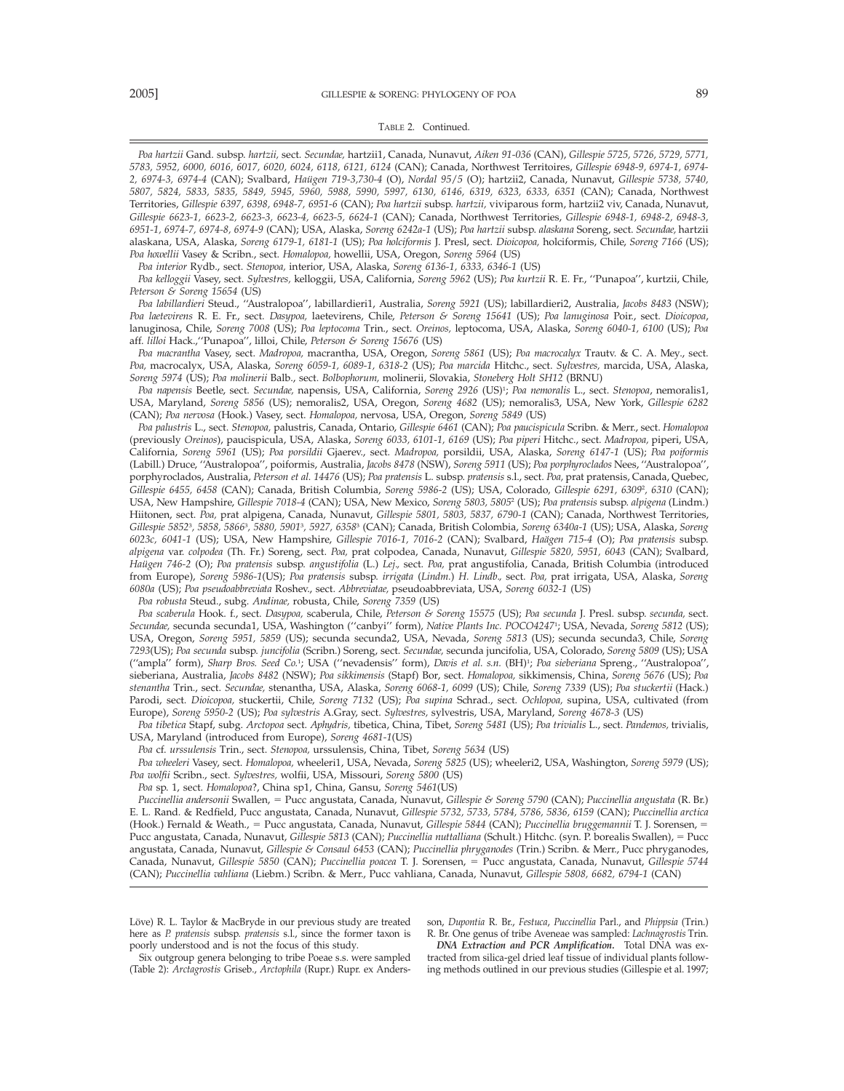#### TABLE 2. Continued.

Poa hartzii Gand. subsp. hartzii, sect. Secundae, hartzii1, Canada, Nunavut, Aiken 91-036 (CAN), Gillespie 5725, 5726, 5729, 5771, 5783, 5952, 6000, 6016, 6017, 6020, 6024, 6118, 6121, 6124 (CAN); Canada, Northwest Territoires, Gillespie 6948-9, 6974-1, 6974-2, 6974-3, 6974-4 (CAN); Svalbard, Haügen 719-3,730-4 (O), Nordal 95/5 (O); hartzii2, Canada, Nunavut, Gillespie 5738, 5740, 5807, 5824, 5833, 5835, 5849, 5945, 5960, 5988, 5990, 5997, 6130, 6146, 6319, 6323, 6333, 6351 (CAN); Canada, Northwest Territories, Gillespie 6397, 6398, 6948-7, 6951-6 (CAN); Poa hartzii subsp. hartzii, viviparous form, hartzii2 viv, Canada, Nunavut, Gillespie 6623-1, 6623-2, 6623-3, 6623-4, 6623-5, 6624-1 (CAN); Canada, Northwest Territories, Gillespie 6948-1, 6948-2, 6948-3, 6951-1, 6974-7, 6974-8, 6974-9 (CAN); USA, Alaska, Soreng 6242a-1 (US); Poa hartzii subsp. alaskana Soreng, sect. Secundae, hartzii alaskana, USA, Alaska, Soreng 6179-1, 6181-1 (US); Poa holciformis J. Presl, sect. Dioicopoa, holciformis, Chile, Soreng 7166 (US); Poa howellii Vasey & Scribn., sect. Homalopoa, howellii, USA, Oregon, Soreng 5964 (US)

Poa interior Rydb., sect. Stenopoa, interior, USA, Alaska, Soreng 6136-1, 6333, 6346-1 (US)

Poa kelloggii Vasev, sect. Sylvestres, kelloggii, USA, California, Soreng 5962 (US); Poa kurtzii R. E. Fr., "Punapoa", kurtzii, Chile, Peterson & Soreng 15654 (US)

Poa labillardieri Steud., "Australopoa", labillardieri1, Australia, Soreng 5921 (US); labillardieri2, Australia, Jacobs 8483 (NSW); Poa laetevirens R. E. Fr., sect. Dasypoa, laetevirens, Chile, Peterson & Soreng 15641 (US); Poa lanuginosa Poir., sect. Dioicopoa, lanuginosa, Chile, Soreng 7008 (US); Poa leptocoma Trin., sect. Oreinos, leptocoma, USA, Alaska, Soreng 6040-1, 6100 (US); Poa aff. lilloi Hack.,"Punapoa", lilloi, Chile, Peterson & Soreng 15676 (US)

Poa macrantha Vasey, sect. Madropoa, macrantha, USA, Oregon, Soreng 5861 (US); Poa macrocalyx Trautv. & C. A. Mey., sect. Poa, macrocalyx, USA, Alaska, Soreng 6059-1, 6089-1, 6318-2 (US); Poa marcida Hitchc., sect. Sylvestres, marcida, USA, Alaska, Soreng 5974 (US); Poa molinerii Balb., sect. Bolbophorum, molinerii, Slovakia, Stoneberg Holt SH12 (BRNU)

Poa napensis Beetle, sect. Secundae, napensis, USA, California, Soreng 2926 (US)<sup>1</sup>; Poa nemoralis L., sect. Stenopoa, nemoralis1, USA, Maryland, Soreng 5856 (US); nemoralis2, USA, Oregon, Soreng 4682 (US); nemoralis3, USA, New York, Gillespie 6282 (CAN); Poa nervosa (Hook.) Vasey, sect. Homalopoa, nervosa, USA, Oregon, Soreng 5849 (US)

Poa palustris L., sect. Stenopoa, palustris, Canada, Ontario, Gillespie 6461 (CAN); Poa paucispicula Scribn. & Merr., sect. Homalopoa (previously Oreinos), paucispicula, USA, Alaska, Soreng 6033, 6101-1, 6169 (US); Poa piperi Hitchc., sect. Madropoa, piperi, USA, California, Soreng 5961 (US); Poa porsildii Gjaerev., sect. Madropoa, porsildii, USA, Alaska, Soreng 6147-1 (US); Poa poiformis (Labill.) Druce, "Australopoa", poiformis, Australia, Jacobs 8478 (NSW), Soreng 5911 (US); Poa porphyroclados Nees, "Australopoa", porphyroclados, Australia, Peterson et al. 14476 (US); Poa pratensis L. subsp. pratensis s.l., sect. Poa, prat pratensis, Canada, Quebec, Gillespie 6455, 6458 (CAN); Canada, British Columbia, Soreng 5986-2 (US); USA, Colorado, Gillespie 6291, 6309<sup>2</sup>, 6310 (CAN); USA, New Hampshire, Gillespie 7018-4 (CAN); USA, New Mexico, Soreng 5803, 5805<sup>2</sup> (US); Poa pratensis subsp. alpigena (Lindm.) Hiitonen, sect. Poa, prat alpigena, Canada, Nunavut, Gillespie 5801, 5803, 5837, 6790-1 (CAN); Canada, Northwest Territories, Gillespie 5852<sup>3</sup>, 5858, 5866<sup>3</sup>, 5880, 5901<sup>3</sup>, 5927, 6358<sup>3</sup> (CAN); Canada, British Colombia, Soreng 6340a-1 (US); USA, Alaska, Soreng 6023c, 6041-1 (US); USA, New Hampshire, Gillespie 7016-1, 7016-2 (CAN); Svalbard, Haägen 715-4 (O); Poa pratensis subsp. alpigena var. colpodea (Th. Fr.) Soreng, sect. Poa, prat colpodea, Canada, Nunavut, Gillespie 5820, 5951, 6043 (CAN); Svalbard, Haügen 746-2 (O); Poa pratensis subsp. angustifolia (L.) Lej., sect. Poa, prat angustifolia, Canada, British Columbia (introduced from Europe), Soreng 5986-1(US); Poa pratensis subsp. irrigata (Lindm.) H. Lindb., sect. Poa, prat irrigata, USA, Alaska, Soreng 6080a (US); Poa pseudoabbreviata Roshev., sect. Abbreviatae, pseudoabbreviata, USA, Soreng 6032-1 (US)

Poa robusta Steud., subg. Andinae, robusta, Chile, Soreng 7359 (US)

Poa scaberula Hook. f., sect. Dasypoa, scaberula, Chile, Peterson & Soreng 15575 (US); Poa secunda J. Presl. subsp. secunda, sect. Secundae, secunda secunda1, USA, Washington ("canbyi" form), Native Plants Inc. POCO4247<sup>1</sup>; USA, Nevada, Soreng 5812 (US); USA, Oregon, Soreng 5951, 5859 (US); secunda secunda2, USA, Nevada, Soreng 5813 (US); secunda secunda3, Chile, Soreng 7293(US); Poa secunda subsp. juncifolia (Scribn.) Soreng, sect. Secundae, secunda juncifolia, USA, Colorado, Soreng 5809 (US); USA ("ampla" form), Sharp Bros. Seed Co.1; USA ("nevadensis" form), Davis et al. s.n. (BH)1; Poa sieberiana Spreng., "Australopoa", sieberiana, Australia, Jacobs 8482 (NSW); Poa sikkimensis (Stapf) Bor, sect. Homalopoa, sikkimensis, China, Soreng 5676 (US); Poa stenantha Trin., sect. Secundae, stenantha, USA, Alaska, Soreng 6068-1, 6099 (US); Chile, Soreng 7339 (US); Poa stuckertii (Hack.) Parodi, sect. Dioicopoa, stuckertii, Chile, Soreng 7132 (US); Poa supina Schrad., sect. Ochlopoa, supina, USA, cultivated (from Europe), Soreng 5950-2 (US); Poa sylvestris A.Gray, sect. Sylvestres, sylvestris, USA, Maryland, Soreng 4678-3 (US)

Poa tibetica Stapf, subg. Arctopoa sect. Aphydris, tibetica, China, Tibet, Soreng 5481 (US); Poa trivialis L., sect. Pandemos, trivialis, USA, Maryland (introduced from Europe), Soreng 4681-1(US)

Poa cf. urssulensis Trin., sect. Stenopoa, urssulensis, China, Tibet, Soreng 5634 (US)

Poa wheeleri Vasey, sect. Homalopoa, wheeleri1, USA, Nevada, Soreng 5825 (US); wheeleri2, USA, Washington, Soreng 5979 (US); Poa wolfii Scribn., sect. Sylvestres, wolfii, USA, Missouri, Soreng 5800 (US)

Poa sp. 1, sect. Homalopoa?, China sp1, China, Gansu, Soreng 5461(US)

Puccinellia andersonii Swallen, = Pucc angustata, Canada, Nunavut, Gillespie & Soreng 5790 (CAN); Puccinellia angustata (R. Br.) E. L. Rand. & Redfield, Pucc angustata, Canada, Nunavut, Gillespie 5732, 5733, 5784, 5786, 5836, 6159 (CAN); Puccinellia arctica (Hook.) Fernald & Weath., = Pucc angustata, Canada, Nunavut, Gillespie 5844 (CAN); Puccinellia bruggemannii T. J. Sorensen, = Pucc angustata, Canada, Nunavut, Gillespie 5813 (CAN); Puccinellia nuttalliana (Schult.) Hitchc. (syn. P. borealis Swallen), = Pucc angustata, Canada, Nunavut, Gillespie & Consaul 6453 (CAN); Puccinellia phryganodes (Trin.) Scribn. & Merr., Pucc phryganodes, Canada, Nunavut, Gillespie 5850 (CAN); Puccinellia poacea T. J. Sorensen, = Pucc angustata, Canada, Nunavut, Gillespie 5744 (CAN); Puccinellia vahliana (Liebm.) Scribn. & Merr., Pucc vahliana, Canada, Nunavut, Gillespie 5808, 6682, 6794-1 (CAN)

Löve) R. L. Taylor & MacBryde in our previous study are treated here as P. pratensis subsp. pratensis s.l., since the former taxon is poorly understood and is not the focus of this study.

son, Dupontia R. Br., Festuca, Puccinellia Parl., and Phippsia (Trin.) R. Br. One genus of tribe Aveneae was sampled: Lachnagrostis Trin.

Six outgroup genera belonging to tribe Poeae s.s. were sampled (Table 2): Arctagrostis Griseb., Arctophila (Rupr.) Rupr. ex Anders-

DNA Extraction and PCR Amplification. Total DNA was extracted from silica-gel dried leaf tissue of individual plants following methods outlined in our previous studies (Gillespie et al. 1997;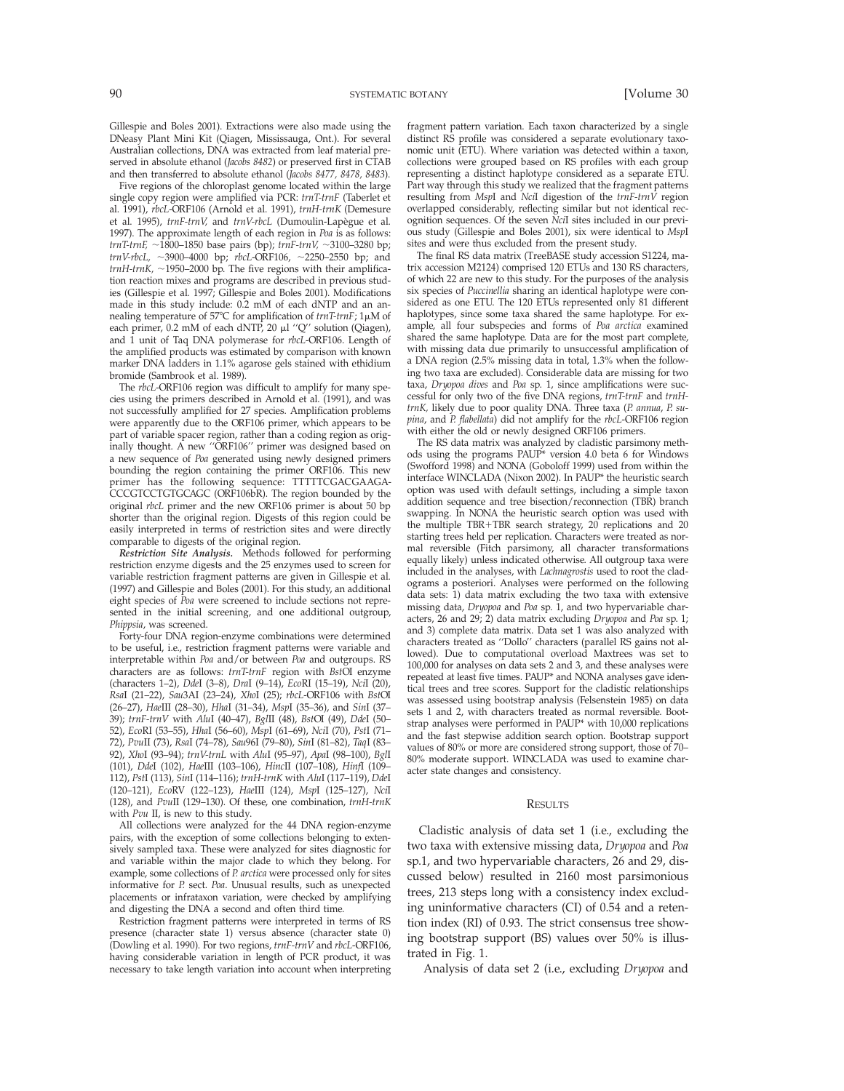Gillespie and Boles 2001). Extractions were also made using the DNeasy Plant Mini Kit (Qiagen, Mississauga, Ont.). For several Australian collections, DNA was extracted from leaf material preserved in absolute ethanol (Jacobs 8482) or preserved first in CTAB and then transferred to absolute ethanol (Jacobs 8477, 8478, 8483).

Five regions of the chloroplast genome located within the large single copy region were amplified via PCR: trnT-trnF (Taberlet et al. 1991), rbcL-ORF106 (Arnold et al. 1991), trnH-trnK (Demesure et al. 1995), trnF-trnV, and trnV-rbcL (Dumoulin-Lapègue et al. 1997). The approximate length of each region in Poa is as follows: trnT-trnF,  $\sim$ 1800–1850 base pairs (bp); trnF-trnV,  $\sim$ 3100–3280 bp;  $\text{trnV-tbcl.} \sim 3900-4000 \text{ bp}$ ;  $\text{rbcl.}-\text{ORF106}$ ,  $\sim 2250-2550 \text{ bp}$ ; and  $\text{trnH-trnK}$ ,  $\sim 1950-2000 \text{ bp}$ . The five regions with their amplification reaction mixes and programs are described in previous studies (Gillespie et al. 1997; Gillespie and Boles 2001). Modifications made in this study include: 0.2 mM of each dNTP and an annealing temperature of 57°C for amplification of trnT-trnF; 1µM of each primer, 0.2 mM of each dNTP, 20 µl "Q" solution (Qiagen), and 1 unit of Taq DNA polymerase for rbcL-ORF106. Length of the amplified products was estimated by comparison with known marker DNA ladders in 1.1% agarose gels stained with ethidium bromide (Sambrook et al. 1989).

The rbcL-ORF106 region was difficult to amplify for many species using the primers described in Arnold et al. (1991), and was not successfully amplified for 27 species. Amplification problems were apparently due to the ORF106 primer, which appears to be part of variable spacer region, rather than a coding region as originally thought. A new "ORF106" primer was designed based on a new sequence of Poa generated using newly designed primers bounding the region containing the primer ORF106. This new primer has the following sequence: TTTTTCGACGAAGA-CCCGTCCTGTGCAGC (ORF106bR). The region bounded by the original *rbcL* primer and the new ORF106 primer is about 50 bp shorter than the original region. Digests of this region could be easily interpreted in terms of restriction sites and were directly comparable to digests of the original region.

Restriction Site Analysis. Methods followed for performing restriction enzyme digests and the 25 enzymes used to screen for variable restriction fragment patterns are given in Gillespie et al. (1997) and Gillespie and Boles (2001). For this study, an additional eight species of Poa were screened to include sections not represented in the initial screening, and one additional outgroup, Phippsia, was screened.

Forty-four DNA region-enzyme combinations were determined to be useful, i.e., restriction fragment patterns were variable and interpretable within Poa and/or between Poa and outgroups. RS characters are as follows: trnT-trnF region with BstOI enzyme (characters 1-2), DdeI (3-8), DraI (9-14), EcoRI (15-19), NciI (20), RsaI (21-22), Sau3AI (23-24), XhoI (25); rbcL-ORF106 with BstOI (26-27), HaeIII (28-30), HhaI (31-34), MspI (35-36), and SinI (37-39); trnF-trnV with AluI (40-47), BgIII (48), BstOI (49), DdeI (50-52), EcoRI (53-55), HhaI (56-60), MspI (61-69), NciI (70), PstI (71-72), PvuII (73), RsaI (74-78), Sau96I (79-80), SinI (81-82), TaqI (83-92), XhoI (93-94); trnV-trnL with AluI (95-97), ApaI (98-100), BgII (101), DdeI (102), HaeIII (103-106), HincII (107-108), HinfI (109-112), PstI (113), SinI (114-116); trnH-trnK with AluI (117-119), DdeI (120-121), EcoRV (122-123), HaeIII (124), MspI (125-127), NciI (128), and PvuII (129-130). Of these, one combination, trnH-trnK with  $Pvu$  II, is new to this study.

All collections were analyzed for the 44 DNA region-enzyme pairs, with the exception of some collections belonging to extensively sampled taxa. These were analyzed for sites diagnostic for and variable within the major clade to which they belong. For example, some collections of P. arctica were processed only for sites informative for P. sect. Poa. Unusual results, such as unexpected placements or infrataxon variation, were checked by amplifying and digesting the DNA a second and often third time.

Restriction fragment patterns were interpreted in terms of RS presence (character state 1) versus absence (character state 0) (Dowling et al. 1990). For two regions, trnF-trnV and rbcL-ORF106, having considerable variation in length of PCR product, it was necessary to take length variation into account when interpreting fragment pattern variation. Each taxon characterized by a single distinct RS profile was considered a separate evolutionary taxonomic unit (ETU). Where variation was detected within a taxon, collections were grouped based on RS profiles with each group representing a distinct haplotype considered as a separate ETU. Part way through this study we realized that the fragment patterns resulting from MspI and NciI digestion of the  $trnF-trn\bar{V}$  region overlapped considerably, reflecting similar but not identical recognition sequences. Of the seven Ncil sites included in our previous study (Gillespie and Boles 2001), six were identical to MspI sites and were thus excluded from the present study.

The final RS data matrix (TreeBASE study accession S1224, matrix accession M2124) comprised 120 ETUs and 130 RS characters, of which 22 are new to this study. For the purposes of the analysis six species of Puccinellia sharing an identical haplotype were considered as one ETU. The 120 ETUs represented only 81 different haplotypes, since some taxa shared the same haplotype. For example, all four subspecies and forms of Poa arctica examined shared the same haplotype. Data are for the most part complete, with missing data due primarily to unsuccessful amplification of a DNA region (2.5% missing data in total, 1.3% when the following two taxa are excluded). Considerable data are missing for two taxa, Dryopoa dives and Poa sp. 1, since amplifications were successful for only two of the five DNA regions, trnT-trnF and trnHtrnK, likely due to poor quality DNA. Three taxa (P. annua, P. supina, and P. flabellata) did not amplify for the rbcL-ORF106 region with either the old or newly designed ORF106 primers.

The RS data matrix was analyzed by cladistic parsimony methods using the programs PAUP\* version 4.0 beta 6 for Windows (Swofford 1998) and NONA (Goboloff 1999) used from within the interface WINCLADA (Nixon 2002). In PAUP\* the heuristic search option was used with default settings, including a simple taxon addition sequence and tree bisection/reconnection (TBR) branch swapping. In NONA the heuristic search option was used with the multiple TBR+TBR search strategy, 20 replications and 20 starting trees held per replication. Characters were treated as normal reversible (Fitch parsimony, all character transformations equally likely) unless indicated otherwise. All outgroup taxa were included in the analyses, with Lachnagrostis used to root the cladograms a posteriori. Analyses were performed on the following data sets: 1) data matrix excluding the two taxa with extensive missing data, Dryopoa and Poa sp. 1, and two hypervariable characters, 26 and 29; 2) data matrix excluding Dryopoa and Poa sp. 1; and 3) complete data matrix. Data set 1 was also analyzed with characters treated as "Dollo" characters (parallel RS gains not allowed). Due to computational overload Maxtrees was set to 100,000 for analyses on data sets 2 and 3, and these analyses were repeated at least five times. PAUP\* and NONA analyses gave identical trees and tree scores. Support for the cladistic relationships was assessed using bootstrap analysis (Felsenstein 1985) on data sets 1 and 2, with characters treated as normal reversible. Bootstrap analyses were performed in PAUP\* with 10,000 replications and the fast stepwise addition search option. Bootstrap support values of 80% or more are considered strong support, those of 70-80% moderate support. WINCLADA was used to examine character state changes and consistency.

#### **RESULTS**

Cladistic analysis of data set 1 (i.e., excluding the two taxa with extensive missing data, Dryopoa and Poa sp.1, and two hypervariable characters, 26 and 29, discussed below) resulted in 2160 most parsimonious trees, 213 steps long with a consistency index excluding uninformative characters (CI) of 0.54 and a retention index (RI) of 0.93. The strict consensus tree showing bootstrap support (BS) values over 50% is illustrated in Fig. 1.

Analysis of data set 2 (i.e., excluding Dryopoa and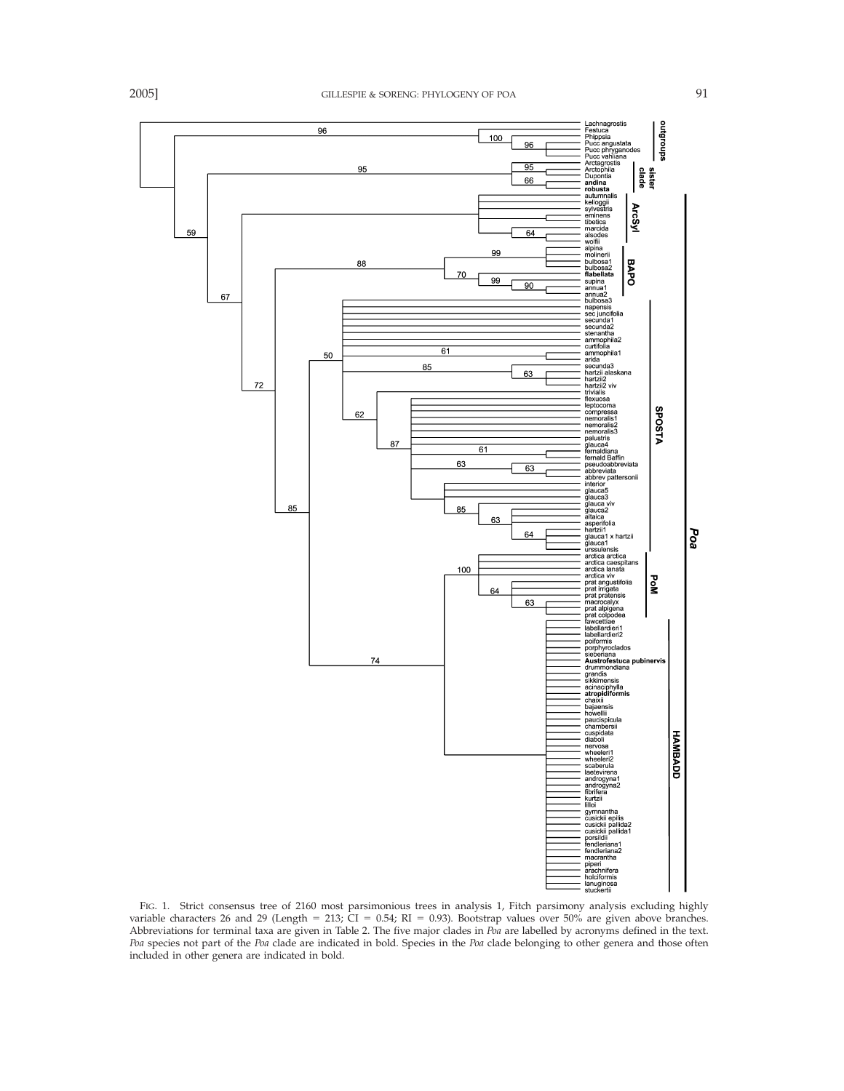

FIG. 1. Strict consensus tree of 2160 most parsimonious trees in analysis 1, Fitch parsimony analysis excluding highly variable characters 26 and 29 (Length = 213;  $CI = 0.54$ ;  $RI = 0.93$ ). Bootstrap values over 50% are given above branches. Abbreviations for terminal taxa are given in Table 2. The five major clades in  $Poa$  are labelled by acronyms defined in the text. Poa species not part of the Poa clade are indicated in bold. Species in the Poa clade belonging to other genera and those often included in other genera are indicated in bold.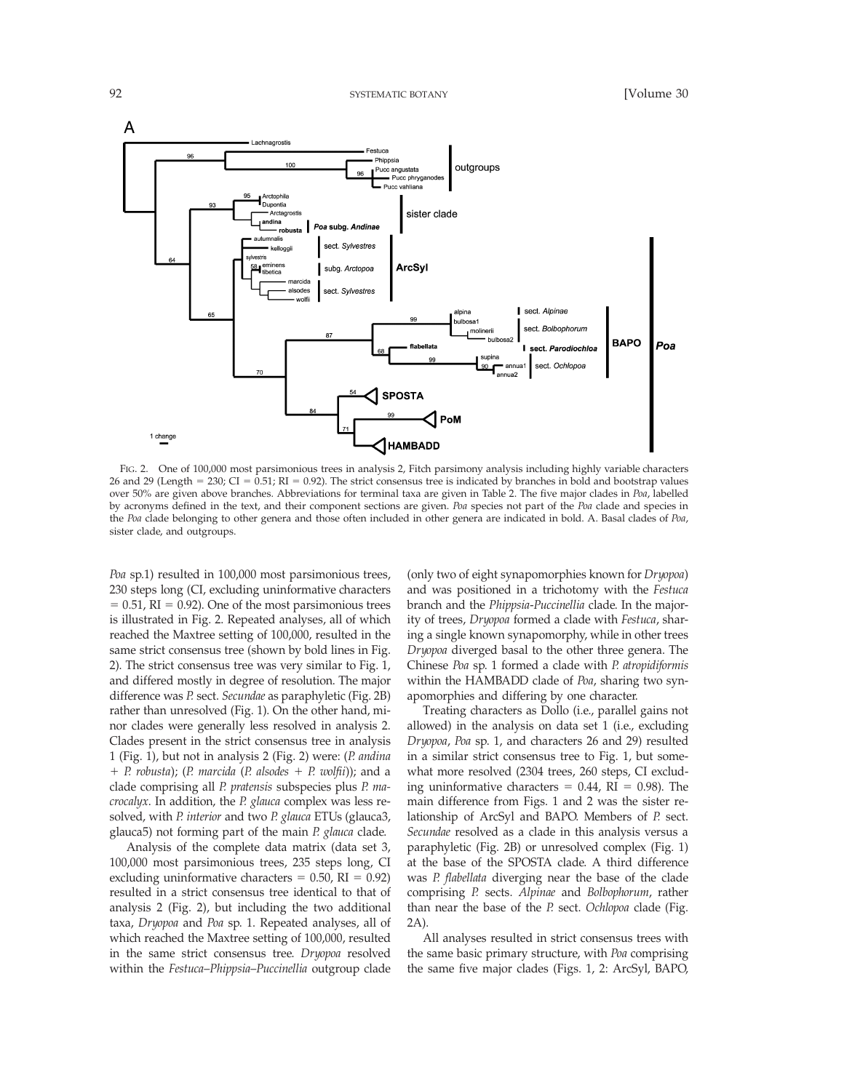

FIG. 2. One of 100,000 most parsimonious trees in analysis 2, Fitch parsimony analysis including highly variable characters 26 and 29 (Length = 230; CI =  $0.51$ ; RI = 0.92). The strict consensus tree is indicated by branches in bold and bootstrap values over 50% are given above branches. Abbreviations for terminal taxa are given in Table 2. The five major clades in Poa, labelled by acronyms defined in the text, and their component sections are given. Poa species not part of the Poa clade and species in the Poa clade belonging to other genera and those often included in other genera are indicated in bold. A. Basal clades of Poa, sister clade, and outgroups.

Poa sp.1) resulted in 100,000 most parsimonious trees, 230 steps long (CI, excluding uninformative characters  $= 0.51$ , RI  $= 0.92$ ). One of the most parsimonious trees is illustrated in Fig. 2. Repeated analyses, all of which reached the Maxtree setting of 100,000, resulted in the same strict consensus tree (shown by bold lines in Fig. 2). The strict consensus tree was very similar to Fig. 1, and differed mostly in degree of resolution. The major difference was P. sect. Secundae as paraphyletic (Fig. 2B) rather than unresolved (Fig. 1). On the other hand, minor clades were generally less resolved in analysis 2. Clades present in the strict consensus tree in analysis 1 (Fig. 1), but not in analysis 2 (Fig. 2) were: (P. andina + P. robusta); (P. marcida (P. alsodes + P. wolfii)); and a clade comprising all P. pratensis subspecies plus P. macrocalyx. In addition, the P. glauca complex was less resolved, with P. interior and two P. glauca ETUs (glauca3, glauca5) not forming part of the main P. glauca clade.

Analysis of the complete data matrix (data set 3, 100,000 most parsimonious trees, 235 steps long, CI excluding uninformative characters =  $0.50$ , RI =  $0.92$ ) resulted in a strict consensus tree identical to that of analysis 2 (Fig. 2), but including the two additional taxa, Dryopoa and Poa sp. 1. Repeated analyses, all of which reached the Maxtree setting of 100,000, resulted in the same strict consensus tree. Dryopoa resolved within the Festuca-Phippsia-Puccinellia outgroup clade (only two of eight synapomorphies known for Dryopoa) and was positioned in a trichotomy with the Festuca branch and the Phippsia-Puccinellia clade. In the majority of trees, Dryopoa formed a clade with Festuca, sharing a single known synapomorphy, while in other trees Dryopoa diverged basal to the other three genera. The Chinese Poa sp. 1 formed a clade with P. atropidiformis within the HAMBADD clade of Poa, sharing two synapomorphies and differing by one character.

Treating characters as Dollo (i.e., parallel gains not allowed) in the analysis on data set 1 (i.e., excluding Dryopoa, Poa sp. 1, and characters 26 and 29) resulted in a similar strict consensus tree to Fig. 1, but somewhat more resolved (2304 trees, 260 steps, CI excluding uninformative characters =  $0.44$ , RI = 0.98). The main difference from Figs. 1 and 2 was the sister relationship of ArcSyl and BAPO. Members of P. sect. Secundae resolved as a clade in this analysis versus a paraphyletic (Fig. 2B) or unresolved complex (Fig. 1) at the base of the SPOSTA clade. A third difference was P. flabellata diverging near the base of the clade comprising P. sects. Alpinae and Bolbophorum, rather than near the base of the P. sect. Ochlopoa clade (Fig. 2A).

All analyses resulted in strict consensus trees with the same basic primary structure, with Poa comprising the same five major clades (Figs. 1, 2: ArcSyl, BAPO,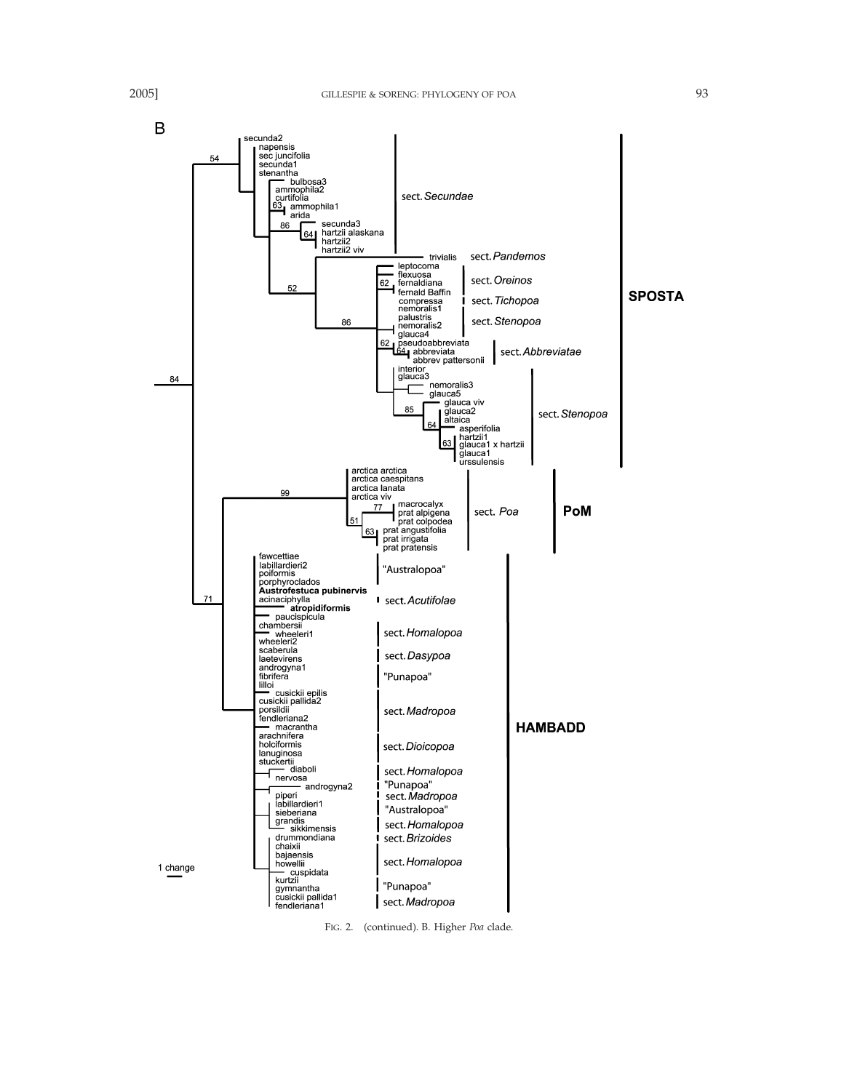

FIG. 2. (continued). B. Higher Poa clade.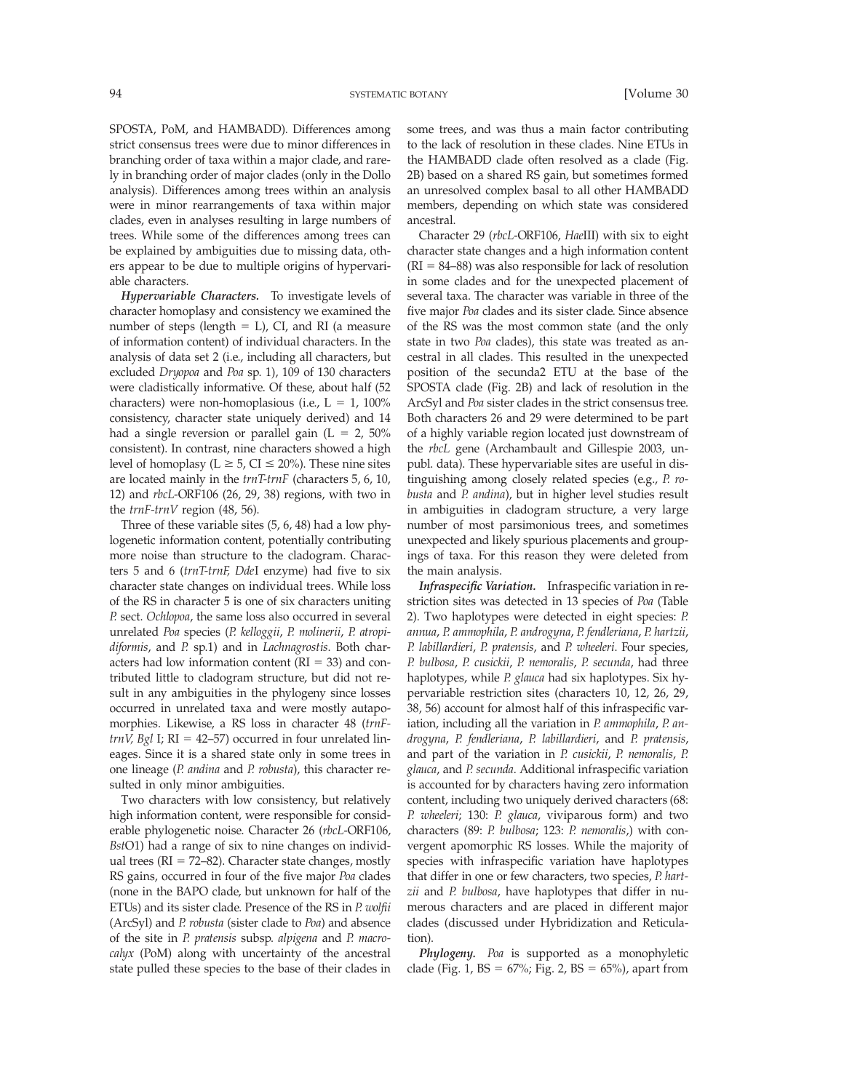SPOSTA, PoM, and HAMBADD). Differences among strict consensus trees were due to minor differences in branching order of taxa within a major clade, and rarely in branching order of major clades (only in the Dollo analysis). Differences among trees within an analysis were in minor rearrangements of taxa within major clades, even in analyses resulting in large numbers of trees. While some of the differences among trees can be explained by ambiguities due to missing data, others appear to be due to multiple origins of hypervariable characters.

Hypervariable Characters. To investigate levels of character homoplasy and consistency we examined the number of steps (length  $= L$ ), CI, and RI (a measure of information content) of individual characters. In the analysis of data set 2 (i.e., including all characters, but excluded Dryopoa and Poa sp. 1), 109 of 130 characters were cladistically informative. Of these, about half (52 characters) were non-homoplasious (i.e.,  $L = 1$ , 100% consistency, character state uniquely derived) and 14 had a single reversion or parallel gain ( $L = 2$ , 50% consistent). In contrast, nine characters showed a high level of homoplasy ( $L \ge 5$ ,  $CI \le 20\%$ ). These nine sites are located mainly in the trnT-trnF (characters 5, 6, 10, 12) and *rbcL-ORF106 (26, 29, 38)* regions, with two in the  $trnF-trnV$  region (48, 56).

Three of these variable sites  $(5, 6, 48)$  had a low phylogenetic information content, potentially contributing more noise than structure to the cladogram. Characters 5 and 6 (trnT-trnF, DdeI enzyme) had five to six character state changes on individual trees. While loss of the RS in character 5 is one of six characters uniting P. sect. Ochlopoa, the same loss also occurred in several unrelated Poa species (P. kelloggii, P. molinerii, P. atropidiformis, and P. sp.1) and in Lachnagrostis. Both characters had low information content ( $RI = 33$ ) and contributed little to cladogram structure, but did not result in any ambiguities in the phylogeny since losses occurred in unrelated taxa and were mostly autapomorphies. Likewise, a RS loss in character 48 (trnF $trnV$ , Bgl I; RI = 42-57) occurred in four unrelated lineages. Since it is a shared state only in some trees in one lineage (P. andina and P. robusta), this character resulted in only minor ambiguities.

Two characters with low consistency, but relatively high information content, were responsible for considerable phylogenetic noise. Character 26 (rbcL-ORF106, BstO1) had a range of six to nine changes on individual trees ( $RI = 72-82$ ). Character state changes, mostly RS gains, occurred in four of the five major Poa clades (none in the BAPO clade, but unknown for half of the ETUs) and its sister clade. Presence of the RS in P. wolfii (ArcSyl) and P. robusta (sister clade to Poa) and absence of the site in P. pratensis subsp. alpigena and P. macrocalyx (PoM) along with uncertainty of the ancestral state pulled these species to the base of their clades in some trees, and was thus a main factor contributing to the lack of resolution in these clades. Nine ETUs in the HAMBADD clade often resolved as a clade (Fig. 2B) based on a shared RS gain, but sometimes formed an unresolved complex basal to all other HAMBADD members, depending on which state was considered ancestral.

Character 29 (rbcL-ORF106, HaeIII) with six to eight character state changes and a high information content  $(RI = 84-88)$  was also responsible for lack of resolution in some clades and for the unexpected placement of several taxa. The character was variable in three of the five major Poa clades and its sister clade. Since absence of the RS was the most common state (and the only state in two Poa clades), this state was treated as ancestral in all clades. This resulted in the unexpected position of the secunda2 ETU at the base of the SPOSTA clade (Fig. 2B) and lack of resolution in the ArcSyl and Poa sister clades in the strict consensus tree. Both characters 26 and 29 were determined to be part of a highly variable region located just downstream of the rbcL gene (Archambault and Gillespie 2003, unpubl. data). These hypervariable sites are useful in distinguishing among closely related species (e.g., P. robusta and P. andina), but in higher level studies result in ambiguities in cladogram structure, a very large number of most parsimonious trees, and sometimes unexpected and likely spurious placements and groupings of taxa. For this reason they were deleted from the main analysis.

Infraspecific Variation. Infraspecific variation in restriction sites was detected in 13 species of Poa (Table 2). Two haplotypes were detected in eight species: P. annua, P. ammophila, P. androgyna, P. fendleriana, P. hartzii, P. labillardieri, P. pratensis, and P. wheeleri. Four species, P. bulbosa, P. cusickii, P. nemoralis, P. secunda, had three haplotypes, while P. glauca had six haplotypes. Six hypervariable restriction sites (characters 10, 12, 26, 29, 38, 56) account for almost half of this infraspecific variation, including all the variation in P. ammophila, P. androgyna, P. fendleriana, P. labillardieri, and P. pratensis, and part of the variation in P. cusickii, P. nemoralis, P. glauca, and P. secunda. Additional infraspecific variation is accounted for by characters having zero information content, including two uniquely derived characters (68: P. wheeleri; 130: P. glauca, viviparous form) and two characters (89: P. bulbosa; 123: P. nemoralis,) with convergent apomorphic RS losses. While the majority of species with infraspecific variation have haplotypes that differ in one or few characters, two species, P. hartzii and P. bulbosa, have haplotypes that differ in numerous characters and are placed in different major clades (discussed under Hybridization and Reticulation).

Phylogeny. Poa is supported as a monophyletic clade (Fig. 1, BS =  $67\%$ ; Fig. 2, BS =  $65\%$ ), apart from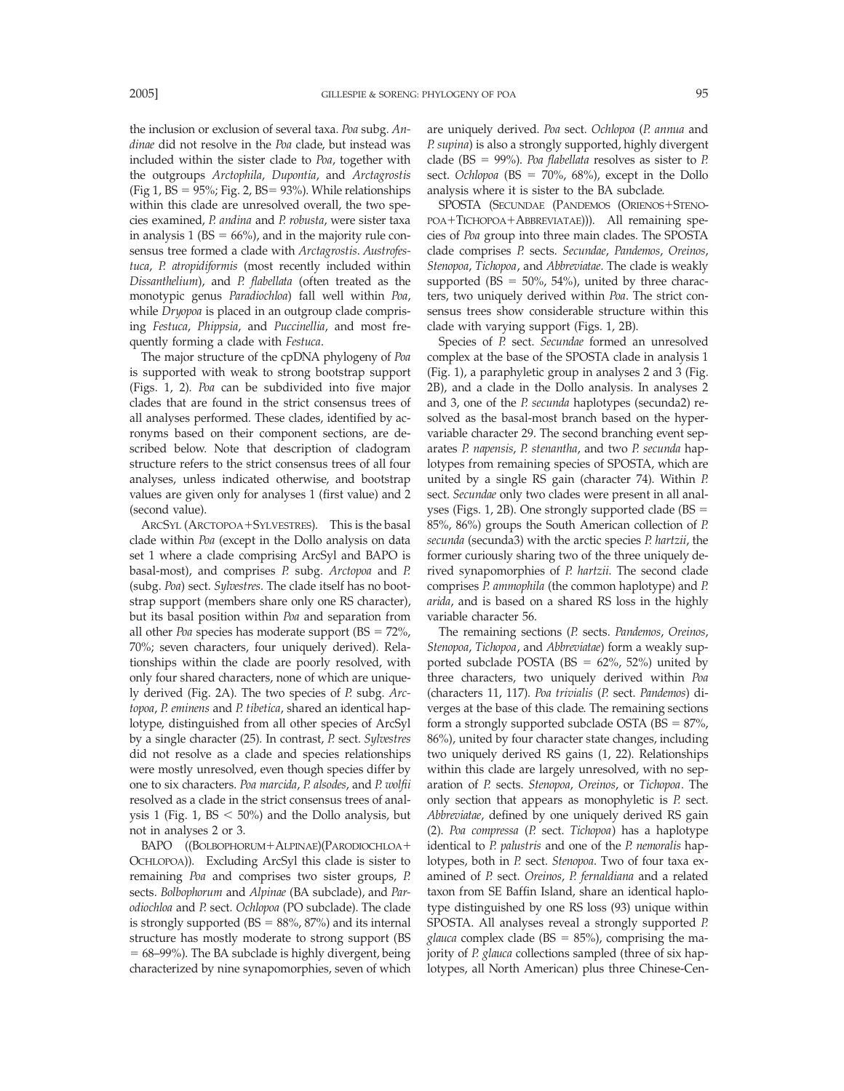the inclusion or exclusion of several taxa. Poa subg. Andinae did not resolve in the Poa clade, but instead was included within the sister clade to Poa, together with the outgroups Arctophila, Dupontia, and Arctagrostis (Fig 1, BS =  $95\%$ ; Fig. 2, BS=  $93\%$ ). While relationships within this clade are unresolved overall, the two species examined, P. andina and P. robusta, were sister taxa in analysis 1 ( $BS = 66\%$ ), and in the majority rule consensus tree formed a clade with Arctagrostis. Austrofestuca, P. atropidiformis (most recently included within Dissanthelium), and P. flabellata (often treated as the monotypic genus Paradiochloa) fall well within Poa, while Dryopoa is placed in an outgroup clade comprising Festuca, Phippsia, and Puccinellia, and most frequently forming a clade with Festuca.

The major structure of the cpDNA phylogeny of Poa is supported with weak to strong bootstrap support (Figs. 1, 2). Poa can be subdivided into five major clades that are found in the strict consensus trees of all analyses performed. These clades, identified by acronyms based on their component sections, are described below. Note that description of cladogram structure refers to the strict consensus trees of all four analyses, unless indicated otherwise, and bootstrap values are given only for analyses 1 (first value) and 2 (second value).

ARCSYL (ARCTOPOA+SYLVESTRES). This is the basal clade within Poa (except in the Dollo analysis on data set 1 where a clade comprising ArcSyl and BAPO is basal-most), and comprises P. subg. Arctopoa and P. (subg. Poa) sect. Sylvestres. The clade itself has no bootstrap support (members share only one RS character), but its basal position within Poa and separation from all other *Poa* species has moderate support ( $BS = 72\%$ , 70%; seven characters, four uniquely derived). Relationships within the clade are poorly resolved, with only four shared characters, none of which are uniquely derived (Fig. 2A). The two species of P. subg. Arctopoa, P. eminens and P. tibetica, shared an identical haplotype, distinguished from all other species of ArcSyl by a single character (25). In contrast, P. sect. Sylvestres did not resolve as a clade and species relationships were mostly unresolved, even though species differ by one to six characters. Poa marcida, P. alsodes, and P. wolfii resolved as a clade in the strict consensus trees of analysis 1 (Fig. 1,  $BS < 50\%$ ) and the Dollo analysis, but not in analyses 2 or 3.

BAPO ((BOLBOPHORUM+ALPINAE)(PARODIOCHLOA+ OCHLOPOA)). Excluding ArcSyl this clade is sister to remaining Poa and comprises two sister groups, P. sects. Bolbophorum and Alpinae (BA subclade), and Parodiochloa and P. sect. Ochlopoa (PO subclade). The clade is strongly supported ( $BS = 88\%$ ,  $87\%$ ) and its internal structure has mostly moderate to strong support (BS = 68–99%). The BA subclade is highly divergent, being characterized by nine synapomorphies, seven of which

are uniquely derived. Poa sect. Ochlopoa (P. annua and P. supina) is also a strongly supported, highly divergent clade (BS =  $99\%$ ). Poa flabellata resolves as sister to P. sect. Ochlopoa (BS =  $70\%$ , 68%), except in the Dollo analysis where it is sister to the BA subclade.

SPOSTA (SECUNDAE (PANDEMOS (ORIENOS+STENO-POA+TICHOPOA+ABBREVIATAE))). All remaining species of Poa group into three main clades. The SPOSTA clade comprises P. sects. Secundae, Pandemos, Oreinos, Stenopoa, Tichopoa, and Abbreviatae. The clade is weakly supported (BS =  $50\%$ ,  $54\%$ ), united by three characters, two uniquely derived within Poa. The strict consensus trees show considerable structure within this clade with varying support (Figs. 1, 2B).

Species of P. sect. Secundae formed an unresolved complex at the base of the SPOSTA clade in analysis 1 (Fig. 1), a paraphyletic group in analyses 2 and 3 (Fig. 2B), and a clade in the Dollo analysis. In analyses 2 and 3, one of the P. secunda haplotypes (secunda2) resolved as the basal-most branch based on the hypervariable character 29. The second branching event separates P. napensis, P. stenantha, and two P. secunda haplotypes from remaining species of SPOSTA, which are united by a single RS gain (character 74). Within P. sect. Secundae only two clades were present in all analyses (Figs. 1, 2B). One strongly supported clade ( $BS =$ 85%, 86%) groups the South American collection of P. secunda (secunda3) with the arctic species P. hartzii, the former curiously sharing two of the three uniquely derived synapomorphies of P. hartzii. The second clade comprises P. ammophila (the common haplotype) and P. arida, and is based on a shared RS loss in the highly variable character 56.

The remaining sections (P. sects. Pandemos, Oreinos, Stenopoa, Tichopoa, and Abbreviatae) form a weakly supported subclade POSTA (BS =  $62\%$ , 52%) united by three characters, two uniquely derived within Poa (characters 11, 117). Poa trivialis (P. sect. Pandemos) diverges at the base of this clade. The remaining sections form a strongly supported subclade OSTA ( $BS = 87\%$ , 86%), united by four character state changes, including two uniquely derived RS gains (1, 22). Relationships within this clade are largely unresolved, with no separation of P. sects. Stenopoa, Oreinos, or Tichopoa. The only section that appears as monophyletic is P. sect. Abbreviatae, defined by one uniquely derived RS gain (2). Poa compressa (P. sect. Tichopoa) has a haplotype identical to P. palustris and one of the P. nemoralis haplotypes, both in P. sect. Stenopoa. Two of four taxa examined of P. sect. Oreinos, P. fernaldiana and a related taxon from SE Baffin Island, share an identical haplotype distinguished by one RS loss (93) unique within SPOSTA. All analyses reveal a strongly supported P. glauca complex clade (BS =  $85\%$ ), comprising the majority of P. glauca collections sampled (three of six haplotypes, all North American) plus three Chinese-Cen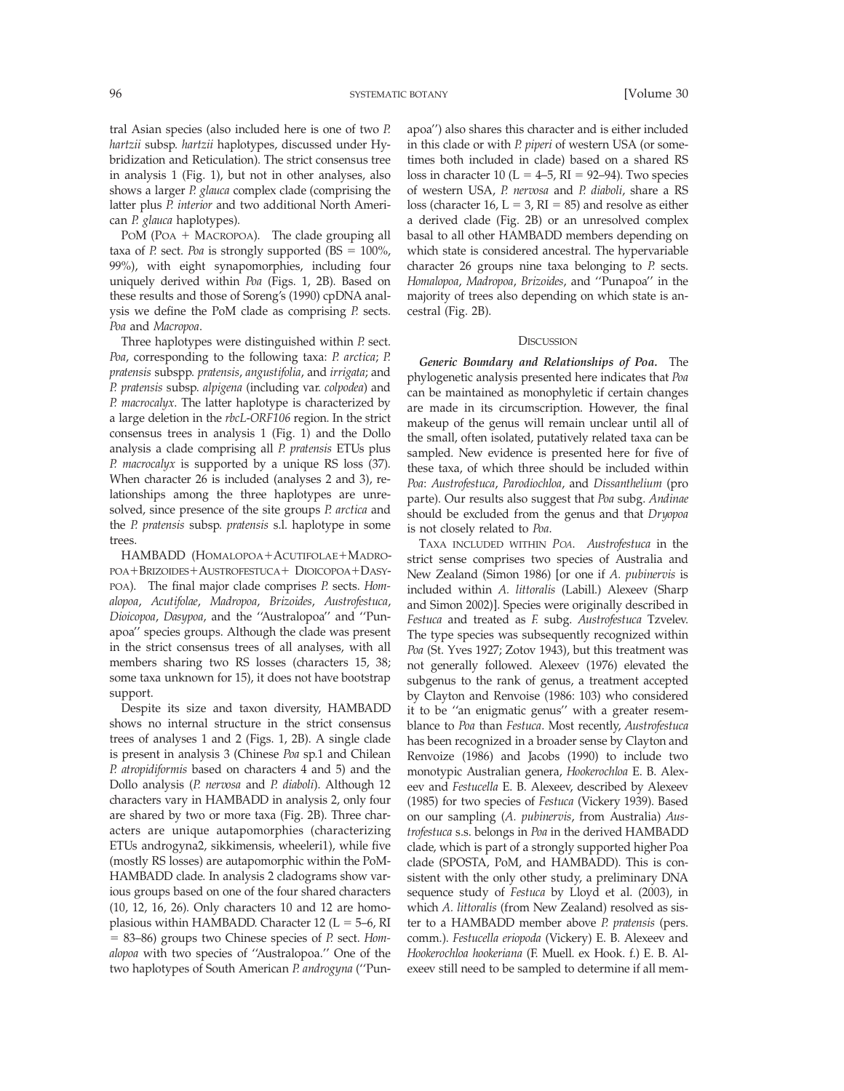tral Asian species (also included here is one of two P. hartzii subsp. hartzii haplotypes, discussed under Hybridization and Reticulation). The strict consensus tree in analysis 1 (Fig. 1), but not in other analyses, also shows a larger P. glauca complex clade (comprising the latter plus P. interior and two additional North American P. glauca haplotypes).

POM (POA + MACROPOA). The clade grouping all taxa of P. sect. Poa is strongly supported (BS =  $100\%$ , 99%), with eight synapomorphies, including four uniquely derived within Poa (Figs. 1, 2B). Based on these results and those of Soreng's (1990) cpDNA analysis we define the PoM clade as comprising P. sects. Poa and Macropoa.

Three haplotypes were distinguished within P. sect. Poa, corresponding to the following taxa: P. arctica; P. pratensis subspp. pratensis, angustifolia, and irrigata; and P. pratensis subsp. alpigena (including var. colpodea) and P. macrocalyx. The latter haplotype is characterized by a large deletion in the rbcL-ORF106 region. In the strict consensus trees in analysis 1 (Fig. 1) and the Dollo analysis a clade comprising all P. pratensis ETUs plus P. macrocalyx is supported by a unique RS loss (37). When character 26 is included (analyses 2 and 3), relationships among the three haplotypes are unresolved, since presence of the site groups P. arctica and the P. pratensis subsp. pratensis s.l. haplotype in some trees.

HAMBADD (HOMALOPOA+ACUTIFOLAE+MADRO-POA+BRIZOIDES+AUSTROFESTUCA+ DIOICOPOA+DASY-POA). The final major clade comprises P. sects. Homalopoa, Acutifolae, Madropoa, Brizoides, Austrofestuca, Dioicopoa, Dasypoa, and the "Australopoa" and "Punapoa" species groups. Although the clade was present in the strict consensus trees of all analyses, with all members sharing two RS losses (characters 15, 38; some taxa unknown for 15), it does not have bootstrap support.

Despite its size and taxon diversity, HAMBADD shows no internal structure in the strict consensus trees of analyses 1 and 2 (Figs. 1, 2B). A single clade is present in analysis 3 (Chinese Poa sp.1 and Chilean P. atropidiformis based on characters 4 and 5) and the Dollo analysis (P. nervosa and P. diaboli). Although 12 characters vary in HAMBADD in analysis 2, only four are shared by two or more taxa (Fig. 2B). Three characters are unique autapomorphies (characterizing ETUs androgyna2, sikkimensis, wheeleri1), while five (mostly RS losses) are autapomorphic within the PoM-HAMBADD clade. In analysis 2 cladograms show various groups based on one of the four shared characters (10, 12, 16, 26). Only characters 10 and 12 are homoplasious within HAMBADD. Character 12 ( $L = 5-6$ , RI = 83-86) groups two Chinese species of P. sect. Homalopoa with two species of "Australopoa." One of the two haplotypes of South American P. androgyna ("Punapoa") also shares this character and is either included in this clade or with P. piperi of western USA (or sometimes both included in clade) based on a shared RS loss in character 10 ( $L = 4-5$ , RI = 92-94). Two species of western USA, P. nervosa and P. diaboli, share a RS loss (character 16,  $L = 3$ ,  $RI = 85$ ) and resolve as either a derived clade (Fig. 2B) or an unresolved complex basal to all other HAMBADD members depending on which state is considered ancestral. The hypervariable character  $26$  groups nine taxa belonging to  $P$ . sects. Homalopoa, Madropoa, Brizoides, and "Punapoa" in the majority of trees also depending on which state is ancestral (Fig. 2B).

## **DISCUSSION**

Generic Boundary and Relationships of Poa. The phylogenetic analysis presented here indicates that Poa can be maintained as monophyletic if certain changes are made in its circumscription. However, the final makeup of the genus will remain unclear until all of the small, often isolated, putatively related taxa can be sampled. New evidence is presented here for five of these taxa, of which three should be included within Poa: Austrofestuca, Parodiochloa, and Dissanthelium (pro parte). Our results also suggest that Poa subg. Andinae should be excluded from the genus and that Dryopoa is not closely related to Poa.

TAXA INCLUDED WITHIN POA. Austrofestuca in the strict sense comprises two species of Australia and New Zealand (Simon 1986) [or one if A. pubinervis is included within A. littoralis (Labill.) Alexeev (Sharp and Simon 2002)]. Species were originally described in Festuca and treated as F. subg. Austrofestuca Tzvelev. The type species was subsequently recognized within Poa (St. Yves 1927; Zotov 1943), but this treatment was not generally followed. Alexeev (1976) elevated the subgenus to the rank of genus, a treatment accepted by Clayton and Renvoise (1986: 103) who considered it to be "an enigmatic genus" with a greater resemblance to Poa than Festuca. Most recently, Austrofestuca has been recognized in a broader sense by Clayton and Renvoize (1986) and Jacobs (1990) to include two monotypic Australian genera, Hookerochloa E. B. Alexeev and Festucella E. B. Alexeev, described by Alexeev (1985) for two species of Festuca (Vickery 1939). Based on our sampling (A. pubinervis, from Australia) Austrofestuca s.s. belongs in Poa in the derived HAMBADD clade, which is part of a strongly supported higher Poa clade (SPOSTA, PoM, and HAMBADD). This is consistent with the only other study, a preliminary DNA sequence study of Festuca by Lloyd et al. (2003), in which A. littoralis (from New Zealand) resolved as sister to a HAMBADD member above P. pratensis (pers. comm.). Festucella eriopoda (Vickery) E. B. Alexeev and Hookerochloa hookeriana (F. Muell. ex Hook. f.) E. B. Alexeev still need to be sampled to determine if all mem-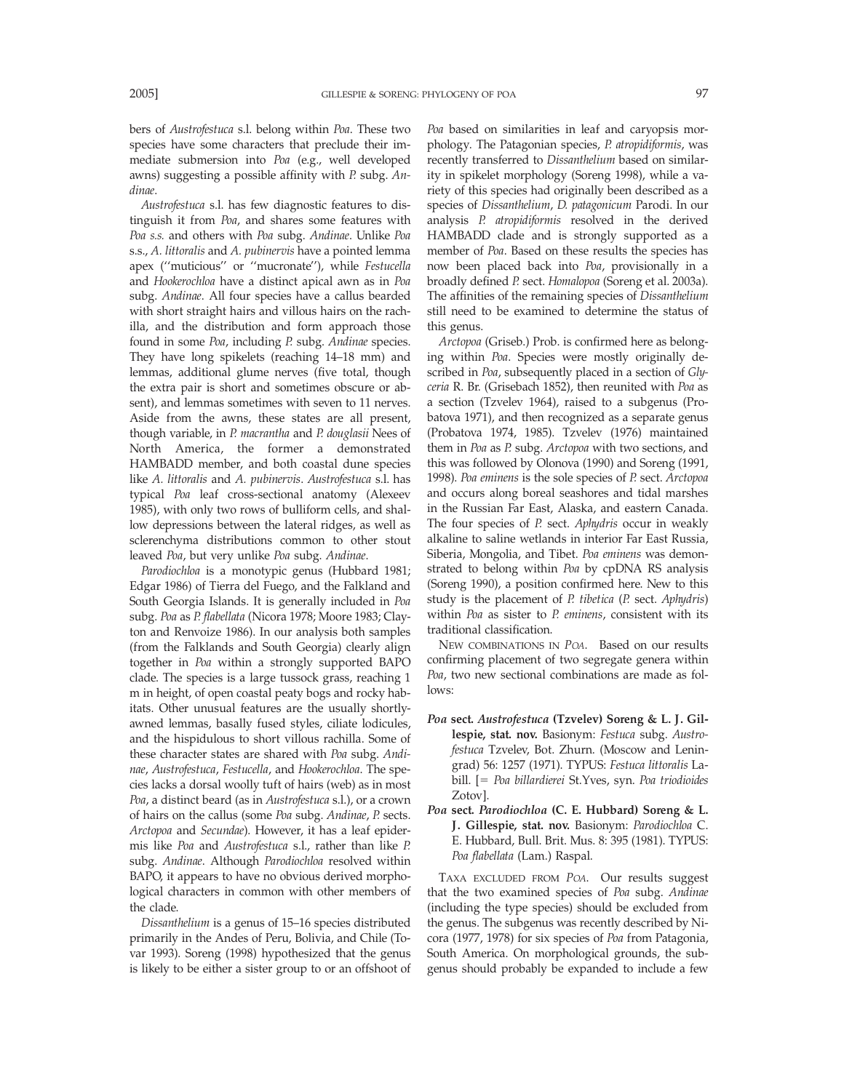Austrofestuca s.l. has few diagnostic features to distinguish it from Poa, and shares some features with Poa s.s. and others with Poa subg. Andinae. Unlike Poa s.s., A. littoralis and A. pubinervis have a pointed lemma apex ("muticious" or "mucronate"), while Festucella and Hookerochloa have a distinct apical awn as in Poa subg. Andinae. All four species have a callus bearded with short straight hairs and villous hairs on the rachilla, and the distribution and form approach those found in some Poa, including P. subg. Andinae species. They have long spikelets (reaching 14–18 mm) and lemmas, additional glume nerves (five total, though the extra pair is short and sometimes obscure or absent), and lemmas sometimes with seven to 11 nerves. Aside from the awns, these states are all present, though variable, in P. macrantha and P. douglasii Nees of North America, the former a demonstrated HAMBADD member, and both coastal dune species like A. littoralis and A. pubinervis. Austrofestuca s.l. has typical Poa leaf cross-sectional anatomy (Alexeev 1985), with only two rows of bulliform cells, and shallow depressions between the lateral ridges, as well as sclerenchyma distributions common to other stout leaved Poa, but very unlike Poa subg. Andinae.

Parodiochloa is a monotypic genus (Hubbard 1981; Edgar 1986) of Tierra del Fuego, and the Falkland and South Georgia Islands. It is generally included in Poa subg. Poa as P. flabellata (Nicora 1978; Moore 1983; Clayton and Renvoize 1986). In our analysis both samples (from the Falklands and South Georgia) clearly align together in Poa within a strongly supported BAPO clade. The species is a large tussock grass, reaching 1 m in height, of open coastal peaty bogs and rocky habitats. Other unusual features are the usually shortlyawned lemmas, basally fused styles, ciliate lodicules, and the hispidulous to short villous rachilla. Some of these character states are shared with Poa subg. Andinae, Austrofestuca, Festucella, and Hookerochloa. The species lacks a dorsal woolly tuft of hairs (web) as in most Poa, a distinct beard (as in Austrofestuca s.l.), or a crown of hairs on the callus (some Poa subg. Andinae, P. sects. Arctopoa and Secundae). However, it has a leaf epidermis like Poa and Austrofestuca s.l., rather than like P. subg. Andinae. Although Parodiochloa resolved within BAPO, it appears to have no obvious derived morphological characters in common with other members of the clade.

Dissanthelium is a genus of 15-16 species distributed primarily in the Andes of Peru, Bolivia, and Chile (Tovar 1993). Soreng (1998) hypothesized that the genus is likely to be either a sister group to or an offshoot of

Poa based on similarities in leaf and caryopsis morphology. The Patagonian species, P. atropidiformis, was recently transferred to Dissanthelium based on similarity in spikelet morphology (Soreng 1998), while a variety of this species had originally been described as a species of Dissanthelium, D. patagonicum Parodi. In our analysis P. atropidiformis resolved in the derived HAMBADD clade and is strongly supported as a member of Poa. Based on these results the species has now been placed back into Poa, provisionally in a broadly defined P. sect. Homalopoa (Soreng et al. 2003a). The affinities of the remaining species of Dissanthelium still need to be examined to determine the status of this genus.

Arctopoa (Griseb.) Prob. is confirmed here as belonging within Poa. Species were mostly originally described in Poa, subsequently placed in a section of Glyceria R. Br. (Grisebach 1852), then reunited with Poa as a section (Tzvelev 1964), raised to a subgenus (Probatova 1971), and then recognized as a separate genus (Probatova 1974, 1985). Tzvelev (1976) maintained them in Poa as P. subg. Arctopoa with two sections, and this was followed by Olonova (1990) and Soreng (1991, 1998). Poa eminens is the sole species of P. sect. Arctopoa and occurs along boreal seashores and tidal marshes in the Russian Far East, Alaska, and eastern Canada. The four species of P. sect. Aphydris occur in weakly alkaline to saline wetlands in interior Far East Russia, Siberia, Mongolia, and Tibet. Poa eminens was demonstrated to belong within Poa by cpDNA RS analysis (Soreng 1990), a position confirmed here. New to this study is the placement of P. tibetica (P. sect. Aphydris) within Poa as sister to P. eminens, consistent with its traditional classification.

NEW COMBINATIONS IN POA. Based on our results confirming placement of two segregate genera within Poa, two new sectional combinations are made as follows:

- Poa sect. Austrofestuca (Tzvelev) Soreng & L. J. Gillespie, stat. nov. Basionym: Festuca subg. Austrofestuca Tzvelev, Bot. Zhurn. (Moscow and Leningrad) 56: 1257 (1971). TYPUS: Festuca littoralis Labill. [= Poa billardierei St.Yves, syn. Poa triodioides Zotov.
- Poa sect. Parodiochloa (C. E. Hubbard) Soreng & L. J. Gillespie, stat. nov. Basionym: Parodiochloa C. E. Hubbard, Bull. Brit. Mus. 8: 395 (1981). TYPUS: Poa flabellata (Lam.) Raspal.

TAXA EXCLUDED FROM POA. Our results suggest that the two examined species of Poa subg. Andinae (including the type species) should be excluded from the genus. The subgenus was recently described by Nicora (1977, 1978) for six species of Poa from Patagonia, South America. On morphological grounds, the subgenus should probably be expanded to include a few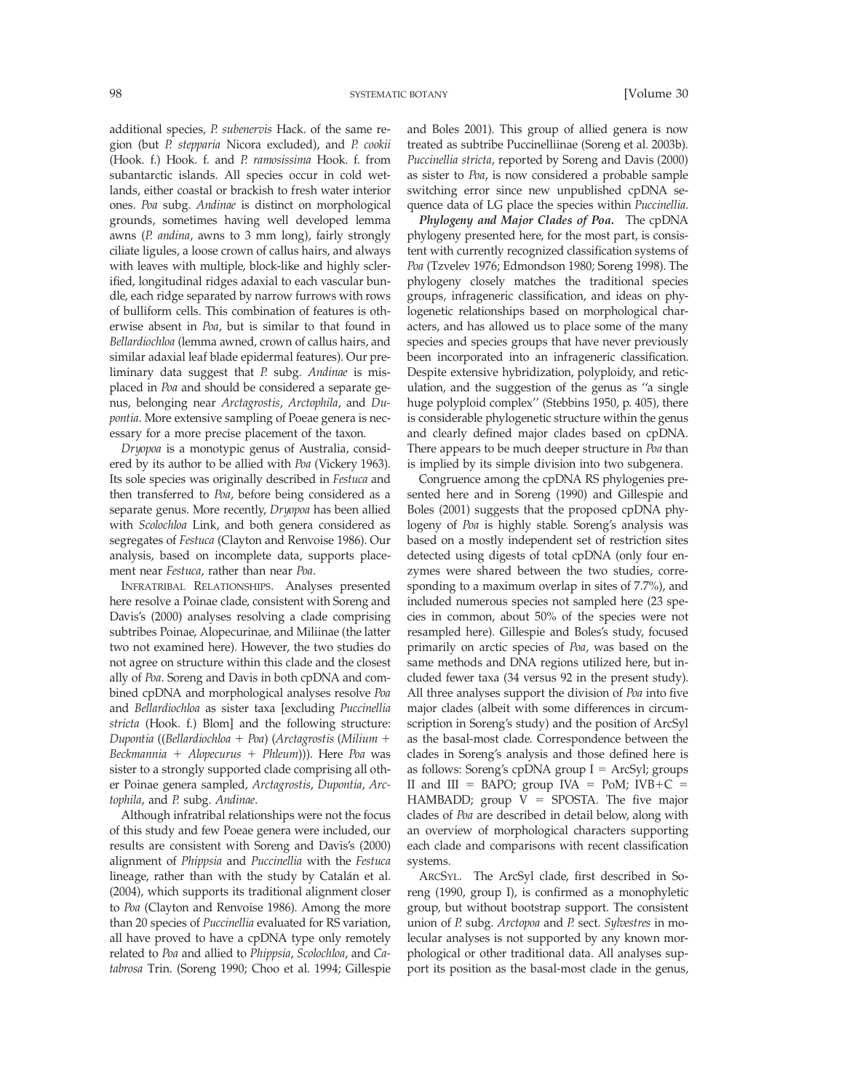additional species, P. subenervis Hack. of the same region (but P. stepparia Nicora excluded), and P. cookii (Hook. f.) Hook. f. and P. ramosissima Hook. f. from subantarctic islands. All species occur in cold wetlands, either coastal or brackish to fresh water interior ones. Poa subg. Andinae is distinct on morphological grounds, sometimes having well developed lemma awns (P. andina, awns to 3 mm long), fairly strongly ciliate ligules, a loose crown of callus hairs, and always with leaves with multiple, block-like and highly sclerified, longitudinal ridges adaxial to each vascular bundle, each ridge separated by narrow furrows with rows of bulliform cells. This combination of features is otherwise absent in Poa, but is similar to that found in Bellardiochloa (lemma awned, crown of callus hairs, and similar adaxial leaf blade epidermal features). Our preliminary data suggest that P. subg. Andinae is misplaced in Poa and should be considered a separate genus, belonging near Arctagrostis, Arctophila, and Dupontia. More extensive sampling of Poeae genera is necessary for a more precise placement of the taxon.

Dryopoa is a monotypic genus of Australia, considered by its author to be allied with Poa (Vickery 1963). Its sole species was originally described in Festuca and then transferred to Poa, before being considered as a separate genus. More recently, Dryopoa has been allied with Scolochloa Link, and both genera considered as segregates of Festuca (Clayton and Renvoise 1986). Our analysis, based on incomplete data, supports placement near Festuca, rather than near Poa.

INFRATRIBAL RELATIONSHIPS. Analyses presented here resolve a Poinae clade, consistent with Soreng and Davis's (2000) analyses resolving a clade comprising subtribes Poinae, Alopecurinae, and Miliinae (the latter two not examined here). However, the two studies do not agree on structure within this clade and the closest ally of Poa. Soreng and Davis in both cpDNA and combined cpDNA and morphological analyses resolve Poa and Bellardiochloa as sister taxa [excluding Puccinellia stricta (Hook. f.) Blom] and the following structure: Dupontia ((Bellardiochloa + Poa) (Arctagrostis (Milium + Beckmannia + Alopecurus + Phleum))). Here Poa was sister to a strongly supported clade comprising all other Poinae genera sampled, Arctagrostis, Dupontia, Arctophila, and P. subg. Andinae.

Although infratribal relationships were not the focus of this study and few Poeae genera were included, our results are consistent with Soreng and Davis's (2000) alignment of Phippsia and Puccinellia with the Festuca lineage, rather than with the study by Catalán et al. (2004), which supports its traditional alignment closer to Poa (Clayton and Renvoise 1986). Among the more than 20 species of Puccinellia evaluated for RS variation, all have proved to have a cpDNA type only remotely related to Poa and allied to Phippsia, Scolochloa, and Catabrosa Trin. (Soreng 1990; Choo et al. 1994; Gillespie and Boles 2001). This group of allied genera is now treated as subtribe Puccinelliinae (Soreng et al. 2003b). Puccinellia stricta, reported by Soreng and Davis (2000) as sister to Poa, is now considered a probable sample switching error since new unpublished cpDNA sequence data of LG place the species within Puccinellia.

Phylogeny and Major Clades of Poa. The cpDNA phylogeny presented here, for the most part, is consistent with currently recognized classification systems of Poa (Tzvelev 1976; Edmondson 1980; Soreng 1998). The phylogeny closely matches the traditional species groups, infrageneric classification, and ideas on phylogenetic relationships based on morphological characters, and has allowed us to place some of the many species and species groups that have never previously been incorporated into an infrageneric classification. Despite extensive hybridization, polyploidy, and reticulation, and the suggestion of the genus as "a single huge polyploid complex" (Stebbins 1950, p. 405), there is considerable phylogenetic structure within the genus and clearly defined major clades based on cpDNA. There appears to be much deeper structure in Poa than is implied by its simple division into two subgenera.

Congruence among the cpDNA RS phylogenies presented here and in Soreng (1990) and Gillespie and Boles (2001) suggests that the proposed cpDNA phylogeny of Poa is highly stable. Soreng's analysis was based on a mostly independent set of restriction sites detected using digests of total cpDNA (only four enzymes were shared between the two studies, corresponding to a maximum overlap in sites of 7.7%), and included numerous species not sampled here (23 species in common, about 50% of the species were not resampled here). Gillespie and Boles's study, focused primarily on arctic species of Poa, was based on the same methods and DNA regions utilized here, but included fewer taxa (34 versus 92 in the present study). All three analyses support the division of Poa into five major clades (albeit with some differences in circumscription in Soreng's study) and the position of ArcSyl as the basal-most clade. Correspondence between the clades in Soreng's analysis and those defined here is as follows: Soreng's cpDNA group  $I = ArcSyl$ ; groups II and III = BAPO; group IVA = PoM; IVB+C = HAMBADD; group  $V =$  SPOSTA. The five major clades of Poa are described in detail below, along with an overview of morphological characters supporting each clade and comparisons with recent classification systems.

ARCSYL. The ArcSyl clade, first described in Soreng (1990, group I), is confirmed as a monophyletic group, but without bootstrap support. The consistent union of P. subg. Arctopoa and P. sect. Sylvestres in molecular analyses is not supported by any known morphological or other traditional data. All analyses support its position as the basal-most clade in the genus,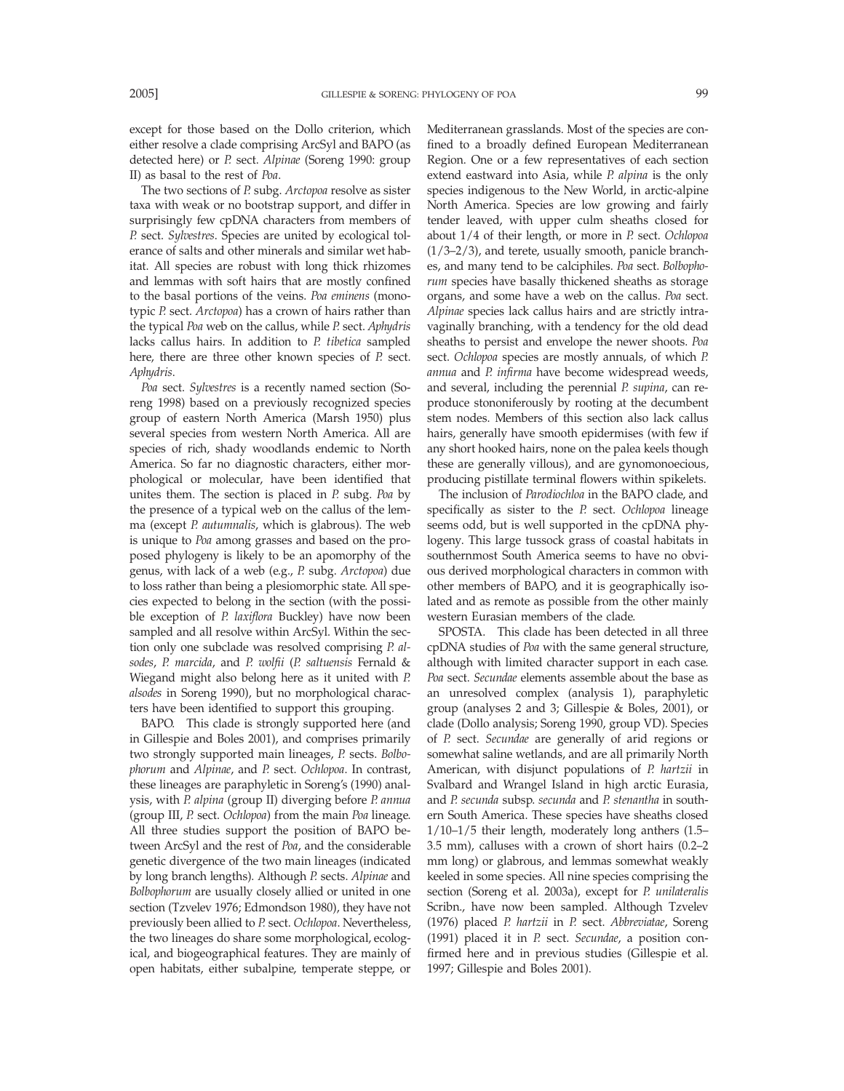except for those based on the Dollo criterion, which either resolve a clade comprising ArcSyl and BAPO (as detected here) or P. sect. Alpinae (Soreng 1990: group II) as basal to the rest of Poa.

The two sections of P. subg. Arctopoa resolve as sister taxa with weak or no bootstrap support, and differ in surprisingly few cpDNA characters from members of P. sect. Sylvestres. Species are united by ecological tolerance of salts and other minerals and similar wet habitat. All species are robust with long thick rhizomes and lemmas with soft hairs that are mostly confined to the basal portions of the veins. Poa eminens (monotypic P. sect. Arctopoa) has a crown of hairs rather than the typical Poa web on the callus, while P. sect. Aphydris lacks callus hairs. In addition to P. tibetica sampled here, there are three other known species of P. sect. Aphydris.

Poa sect. Sylvestres is a recently named section (Soreng 1998) based on a previously recognized species group of eastern North America (Marsh 1950) plus several species from western North America. All are species of rich, shady woodlands endemic to North America. So far no diagnostic characters, either morphological or molecular, have been identified that unites them. The section is placed in P. subg. Poa by the presence of a typical web on the callus of the lemma (except P. autumnalis, which is glabrous). The web is unique to *Poa* among grasses and based on the proposed phylogeny is likely to be an apomorphy of the genus, with lack of a web (e.g., P. subg. Arctopoa) due to loss rather than being a plesiomorphic state. All species expected to belong in the section (with the possible exception of P. laxiflora Buckley) have now been sampled and all resolve within ArcSyl. Within the section only one subclade was resolved comprising P. alsodes, P. marcida, and P. wolfii (P. saltuensis Fernald & Wiegand might also belong here as it united with P. alsodes in Soreng 1990), but no morphological characters have been identified to support this grouping.

BAPO. This clade is strongly supported here (and in Gillespie and Boles 2001), and comprises primarily two strongly supported main lineages, P. sects. Bolbophorum and Alpinae, and P. sect. Ochlopoa. In contrast, these lineages are paraphyletic in Soreng's (1990) analysis, with P. alpina (group II) diverging before P. annua (group III, P. sect. Ochlopoa) from the main Poa lineage. All three studies support the position of BAPO between ArcSyl and the rest of Poa, and the considerable genetic divergence of the two main lineages (indicated by long branch lengths). Although P. sects. Alpinae and Bolbophorum are usually closely allied or united in one section (Tzvelev 1976; Edmondson 1980), they have not previously been allied to P. sect. Ochlopoa. Nevertheless, the two lineages do share some morphological, ecological, and biogeographical features. They are mainly of open habitats, either subalpine, temperate steppe, or

Mediterranean grasslands. Most of the species are confined to a broadly defined European Mediterranean Region. One or a few representatives of each section extend eastward into Asia, while P. alpina is the only species indigenous to the New World, in arctic-alpine North America. Species are low growing and fairly tender leaved, with upper culm sheaths closed for about 1/4 of their length, or more in P. sect. Ochlopoa  $(1/3-2/3)$ , and terete, usually smooth, panicle branches, and many tend to be calciphiles. Poa sect. Bolbophorum species have basally thickened sheaths as storage organs, and some have a web on the callus. Poa sect. Alpinae species lack callus hairs and are strictly intravaginally branching, with a tendency for the old dead sheaths to persist and envelope the newer shoots. Poa sect. Ochlopoa species are mostly annuals, of which P. annua and P. infirma have become widespread weeds, and several, including the perennial P. supina, can reproduce stononiferously by rooting at the decumbent stem nodes. Members of this section also lack callus hairs, generally have smooth epidermises (with few if any short hooked hairs, none on the palea keels though these are generally villous), and are gynomonoecious, producing pistillate terminal flowers within spikelets.

The inclusion of Parodiochloa in the BAPO clade, and specifically as sister to the P. sect. Ochlopoa lineage seems odd, but is well supported in the cpDNA phylogeny. This large tussock grass of coastal habitats in southernmost South America seems to have no obvious derived morphological characters in common with other members of BAPO, and it is geographically isolated and as remote as possible from the other mainly western Eurasian members of the clade.

SPOSTA. This clade has been detected in all three cpDNA studies of Poa with the same general structure, although with limited character support in each case. Poa sect. Secundae elements assemble about the base as an unresolved complex (analysis 1), paraphyletic group (analyses 2 and 3; Gillespie & Boles, 2001), or clade (Dollo analysis; Soreng 1990, group VD). Species of P. sect. Secundae are generally of arid regions or somewhat saline wetlands, and are all primarily North American, with disjunct populations of P. hartzii in Svalbard and Wrangel Island in high arctic Eurasia, and P. secunda subsp. secunda and P. stenantha in southern South America. These species have sheaths closed  $1/10-1/5$  their length, moderately long anthers  $(1.5-$ 3.5 mm), calluses with a crown of short hairs (0.2–2 mm long) or glabrous, and lemmas somewhat weakly keeled in some species. All nine species comprising the section (Soreng et al. 2003a), except for P. unilateralis Scribn., have now been sampled. Although Tzvelev (1976) placed P. hartzii in P. sect. Abbreviatae, Soreng (1991) placed it in P. sect. Secundae, a position confirmed here and in previous studies (Gillespie et al. 1997; Gillespie and Boles 2001).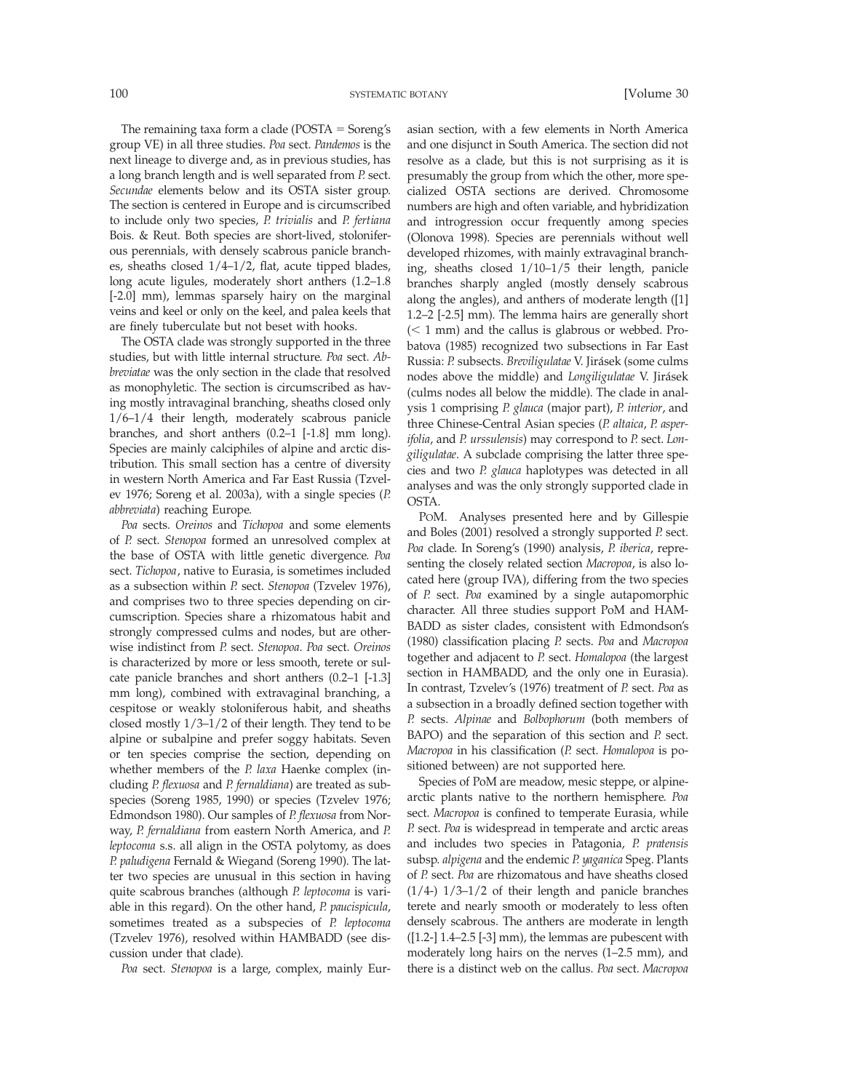The remaining taxa form a clade (POSTA  $=$  Soreng's group VE) in all three studies. Poa sect. Pandemos is the next lineage to diverge and, as in previous studies, has a long branch length and is well separated from P. sect. Secundae elements below and its OSTA sister group. The section is centered in Europe and is circumscribed to include only two species, P. trivialis and P. fertiana Bois. & Reut. Both species are short-lived, stoloniferous perennials, with densely scabrous panicle branches, sheaths closed  $1/4-1/2$ , flat, acute tipped blades, long acute ligules, moderately short anthers (1.2–1.8) [-2.0] mm), lemmas sparsely hairy on the marginal veins and keel or only on the keel, and palea keels that are finely tuberculate but not beset with hooks.

The OSTA clade was strongly supported in the three studies, but with little internal structure. Poa sect. Abbreviatae was the only section in the clade that resolved as monophyletic. The section is circumscribed as having mostly intravaginal branching, sheaths closed only  $1/6 - 1/4$  their length, moderately scabrous panicle branches, and short anthers (0.2-1 [-1.8] mm long). Species are mainly calciphiles of alpine and arctic distribution. This small section has a centre of diversity in western North America and Far East Russia (Tzvelev 1976; Soreng et al. 2003a), with a single species (P. abbreviata) reaching Europe.

Poa sects. Oreinos and Tichopoa and some elements of P. sect. Stenopoa formed an unresolved complex at the base of OSTA with little genetic divergence. Poa sect. Tichopoa, native to Eurasia, is sometimes included as a subsection within P. sect. Stenopoa (Tzvelev 1976), and comprises two to three species depending on circumscription. Species share a rhizomatous habit and strongly compressed culms and nodes, but are otherwise indistinct from P. sect. Stenopoa. Poa sect. Oreinos is characterized by more or less smooth, terete or sulcate panicle branches and short anthers (0.2–1 [-1.3] mm long), combined with extravaginal branching, a cespitose or weakly stoloniferous habit, and sheaths closed mostly  $1/3-1/2$  of their length. They tend to be alpine or subalpine and prefer soggy habitats. Seven or ten species comprise the section, depending on whether members of the P. laxa Haenke complex (including P. flexuosa and P. fernaldiana) are treated as subspecies (Soreng 1985, 1990) or species (Tzvelev 1976; Edmondson 1980). Our samples of P. flexuosa from Norway, P. fernaldiana from eastern North America, and P. leptocoma s.s. all align in the OSTA polytomy, as does P. paludigena Fernald & Wiegand (Soreng 1990). The latter two species are unusual in this section in having quite scabrous branches (although P. leptocoma is variable in this regard). On the other hand, P. paucispicula, sometimes treated as a subspecies of P. leptocoma (Tzvelev 1976), resolved within HAMBADD (see discussion under that clade).

Poa sect. Stenopoa is a large, complex, mainly Eur-

asian section, with a few elements in North America and one disjunct in South America. The section did not resolve as a clade, but this is not surprising as it is presumably the group from which the other, more specialized OSTA sections are derived. Chromosome numbers are high and often variable, and hybridization and introgression occur frequently among species (Olonova 1998). Species are perennials without well developed rhizomes, with mainly extravaginal branching, sheaths closed 1/10-1/5 their length, panicle branches sharply angled (mostly densely scabrous along the angles), and anthers of moderate length ([1] 1.2-2 [-2.5] mm). The lemma hairs are generally short  $(< 1$  mm) and the callus is glabrous or webbed. Probatova (1985) recognized two subsections in Far East Russia: P. subsects. Breviligulatae V. Jirásek (some culms nodes above the middle) and Longiligulatae V. Jirásek (culms nodes all below the middle). The clade in analysis 1 comprising P. glauca (major part), P. interior, and three Chinese-Central Asian species (P. altaica, P. asperifolia, and P. urssulensis) may correspond to P. sect. Longiligulatae. A subclade comprising the latter three species and two P. glauca haplotypes was detected in all analyses and was the only strongly supported clade in OSTA.

POM. Analyses presented here and by Gillespie and Boles (2001) resolved a strongly supported P. sect. Poa clade. In Soreng's (1990) analysis, P. iberica, representing the closely related section Macropoa, is also located here (group IVA), differing from the two species of P. sect. Poa examined by a single autapomorphic character. All three studies support PoM and HAM-BADD as sister clades, consistent with Edmondson's (1980) classification placing P. sects. Poa and Macropoa together and adjacent to P. sect. Homalopoa (the largest section in HAMBADD, and the only one in Eurasia). In contrast, Tzvelev's (1976) treatment of P. sect. Poa as a subsection in a broadly defined section together with P. sects. Alpinae and Bolbophorum (both members of BAPO) and the separation of this section and P. sect. Macropoa in his classification (P. sect. Homalopoa is positioned between) are not supported here.

Species of PoM are meadow, mesic steppe, or alpinearctic plants native to the northern hemisphere. Poa sect. Macropoa is confined to temperate Eurasia, while P. sect. Poa is widespread in temperate and arctic areas and includes two species in Patagonia, P. pratensis subsp. alpigena and the endemic P. yaganica Speg. Plants of P. sect. Poa are rhizomatous and have sheaths closed  $(1/4-)$   $1/3-1/2$  of their length and panicle branches terete and nearly smooth or moderately to less often densely scabrous. The anthers are moderate in length  $(1.2-]$  1.4-2.5 [-3] mm), the lemmas are pubescent with moderately long hairs on the nerves (1-2.5 mm), and there is a distinct web on the callus. Poa sect. Macropoa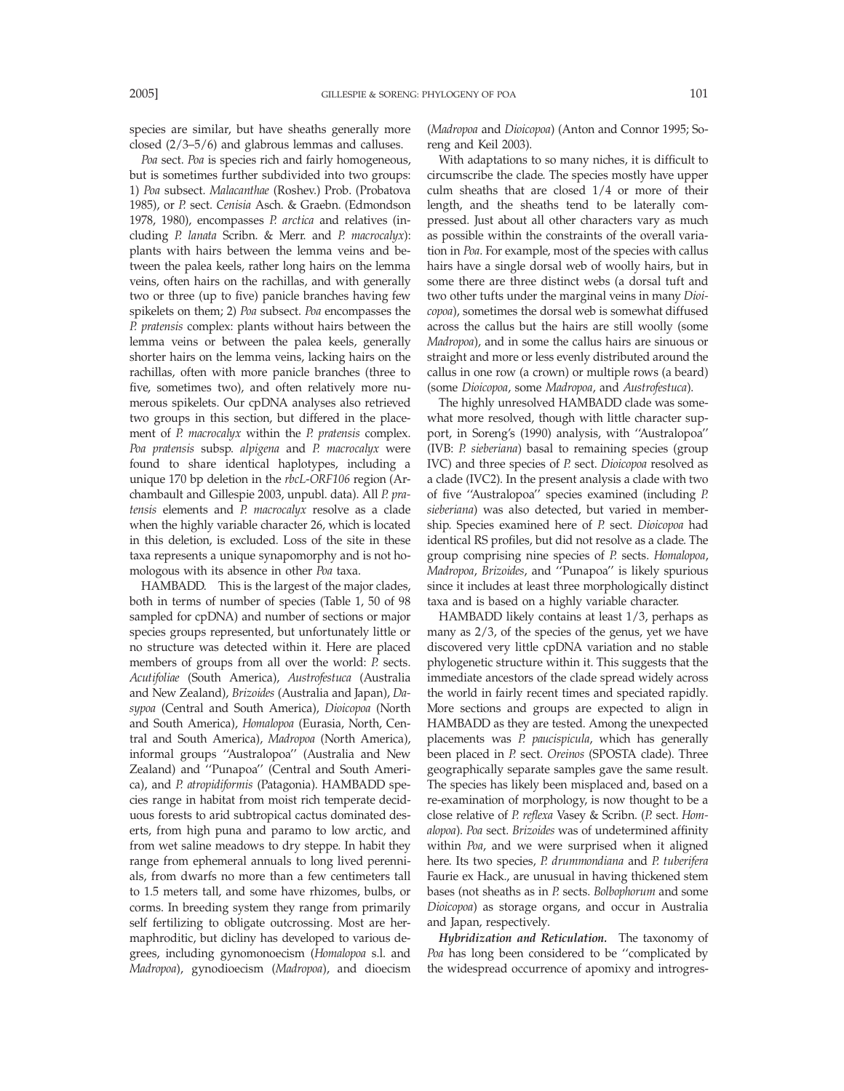species are similar, but have sheaths generally more closed  $(2/3-5/6)$  and glabrous lemmas and calluses.

Poa sect. Poa is species rich and fairly homogeneous, but is sometimes further subdivided into two groups: 1) Poa subsect. Malacanthae (Roshev.) Prob. (Probatova 1985), or P. sect. Cenisia Asch. & Graebn. (Edmondson 1978, 1980), encompasses P. arctica and relatives (including P. lanata Scribn. & Merr. and P. macrocalyx): plants with hairs between the lemma veins and between the palea keels, rather long hairs on the lemma veins, often hairs on the rachillas, and with generally two or three (up to five) panicle branches having few spikelets on them; 2) Poa subsect. Poa encompasses the P. pratensis complex: plants without hairs between the lemma veins or between the palea keels, generally shorter hairs on the lemma veins, lacking hairs on the rachillas, often with more panicle branches (three to five, sometimes two), and often relatively more numerous spikelets. Our cpDNA analyses also retrieved two groups in this section, but differed in the placement of P. macrocalyx within the P. pratensis complex. Poa pratensis subsp. alpigena and P. macrocalyx were found to share identical haplotypes, including a unique 170 bp deletion in the rbcL-ORF106 region (Archambault and Gillespie 2003, unpubl. data). All P. pratensis elements and P. macrocalyx resolve as a clade when the highly variable character 26, which is located in this deletion, is excluded. Loss of the site in these taxa represents a unique synapomorphy and is not homologous with its absence in other Poa taxa.

HAMBADD. This is the largest of the major clades, both in terms of number of species (Table 1, 50 of 98 sampled for cpDNA) and number of sections or major species groups represented, but unfortunately little or no structure was detected within it. Here are placed members of groups from all over the world: P. sects. Acutifoliae (South America), Austrofestuca (Australia and New Zealand), Brizoides (Australia and Japan), Dasypoa (Central and South America), Dioicopoa (North and South America), Homalopoa (Eurasia, North, Central and South America), Madropoa (North America), informal groups "Australopoa" (Australia and New Zealand) and "Punapoa" (Central and South America), and P. atropidiformis (Patagonia). HAMBADD species range in habitat from moist rich temperate deciduous forests to arid subtropical cactus dominated deserts, from high puna and paramo to low arctic, and from wet saline meadows to dry steppe. In habit they range from ephemeral annuals to long lived perennials, from dwarfs no more than a few centimeters tall to 1.5 meters tall, and some have rhizomes, bulbs, or corms. In breeding system they range from primarily self fertilizing to obligate outcrossing. Most are hermaphroditic, but dicliny has developed to various degrees, including gynomonoecism (Homalopoa s.l. and Madropoa), gynodioecism (Madropoa), and dioecism

(Madropoa and Dioicopoa) (Anton and Connor 1995; Soreng and Keil 2003).

With adaptations to so many niches, it is difficult to circumscribe the clade. The species mostly have upper culm sheaths that are closed 1/4 or more of their length, and the sheaths tend to be laterally compressed. Just about all other characters vary as much as possible within the constraints of the overall variation in Poa. For example, most of the species with callus hairs have a single dorsal web of woolly hairs, but in some there are three distinct webs (a dorsal tuft and two other tufts under the marginal veins in many Dioicopoa), sometimes the dorsal web is somewhat diffused across the callus but the hairs are still woolly (some Madropoa), and in some the callus hairs are sinuous or straight and more or less evenly distributed around the callus in one row (a crown) or multiple rows (a beard) (some Dioicopoa, some Madropoa, and Austrofestuca).

The highly unresolved HAMBADD clade was somewhat more resolved, though with little character support, in Soreng's (1990) analysis, with "Australopoa" (IVB: P. sieberiana) basal to remaining species (group IVC) and three species of P. sect. Dioicopoa resolved as a clade (IVC2). In the present analysis a clade with two of five "Australopoa" species examined (including P. sieberiana) was also detected, but varied in membership. Species examined here of P. sect. Dioicopoa had identical RS profiles, but did not resolve as a clade. The group comprising nine species of P. sects. Homalopoa, Madropoa, Brizoides, and "Punapoa" is likely spurious since it includes at least three morphologically distinct taxa and is based on a highly variable character.

HAMBADD likely contains at least 1/3, perhaps as many as  $2/3$ , of the species of the genus, yet we have discovered very little cpDNA variation and no stable phylogenetic structure within it. This suggests that the immediate ancestors of the clade spread widely across the world in fairly recent times and speciated rapidly. More sections and groups are expected to align in HAMBADD as they are tested. Among the unexpected placements was P. paucispicula, which has generally been placed in P. sect. Oreinos (SPOSTA clade). Three geographically separate samples gave the same result. The species has likely been misplaced and, based on a re-examination of morphology, is now thought to be a close relative of P. reflexa Vasey & Scribn. (P. sect. Homalopoa). Poa sect. Brizoides was of undetermined affinity within Poa, and we were surprised when it aligned here. Its two species, P. drummondiana and P. tuberifera Faurie ex Hack., are unusual in having thickened stem bases (not sheaths as in P. sects. Bolbophorum and some Dioicopoa) as storage organs, and occur in Australia and Japan, respectively.

Hybridization and Reticulation. The taxonomy of Poa has long been considered to be "complicated by the widespread occurrence of apomixy and introgres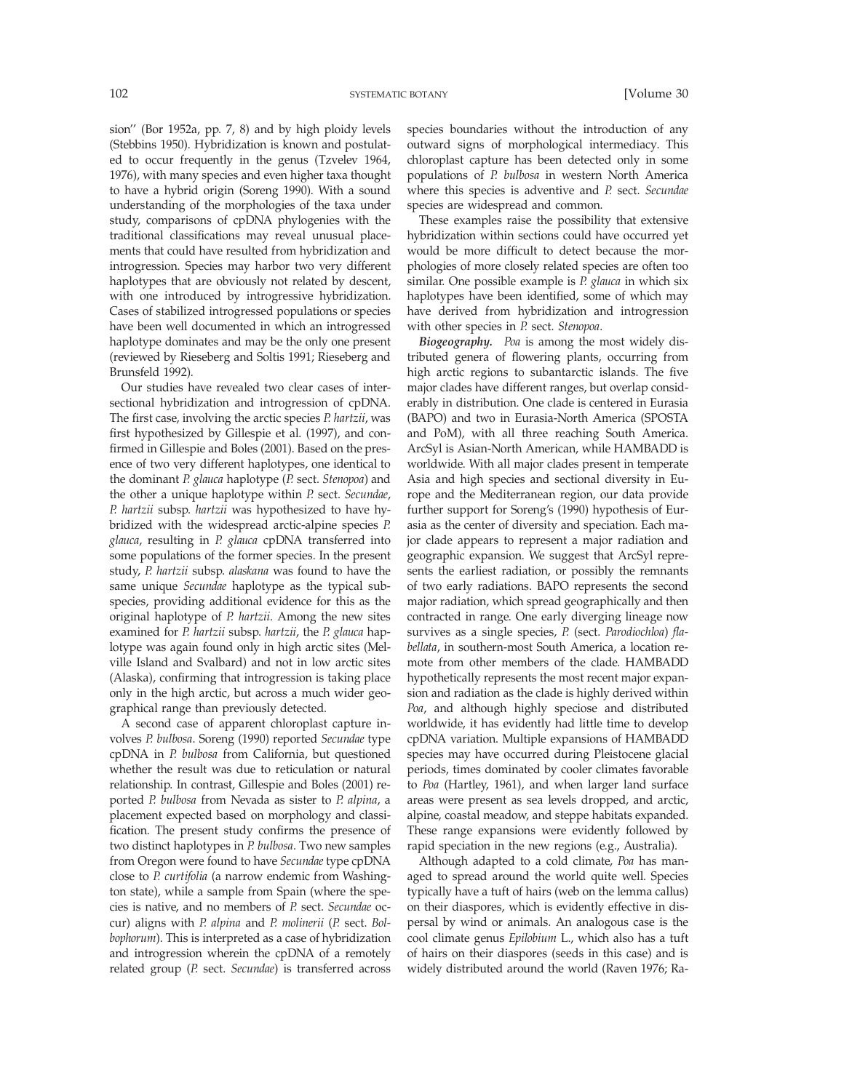sion" (Bor 1952a, pp. 7, 8) and by high ploidy levels (Stebbins 1950). Hybridization is known and postulated to occur frequently in the genus (Tzvelev 1964, 1976), with many species and even higher taxa thought to have a hybrid origin (Soreng 1990). With a sound understanding of the morphologies of the taxa under study, comparisons of cpDNA phylogenies with the traditional classifications may reveal unusual placements that could have resulted from hybridization and introgression. Species may harbor two very different haplotypes that are obviously not related by descent, with one introduced by introgressive hybridization. Cases of stabilized introgressed populations or species have been well documented in which an introgressed haplotype dominates and may be the only one present (reviewed by Rieseberg and Soltis 1991; Rieseberg and Brunsfeld 1992).

Our studies have revealed two clear cases of intersectional hybridization and introgression of cpDNA. The first case, involving the arctic species P. hartzii, was first hypothesized by Gillespie et al. (1997), and confirmed in Gillespie and Boles (2001). Based on the presence of two very different haplotypes, one identical to the dominant P. glauca haplotype (P. sect. Stenopoa) and the other a unique haplotype within P. sect. Secundae, P. hartzii subsp. hartzii was hypothesized to have hybridized with the widespread arctic-alpine species P. glauca, resulting in P. glauca cpDNA transferred into some populations of the former species. In the present study, P. hartzii subsp. alaskana was found to have the same unique Secundae haplotype as the typical subspecies, providing additional evidence for this as the original haplotype of P. hartzii. Among the new sites examined for P. hartzii subsp. hartzii, the P. glauca haplotype was again found only in high arctic sites (Melville Island and Svalbard) and not in low arctic sites (Alaska), confirming that introgression is taking place only in the high arctic, but across a much wider geographical range than previously detected.

A second case of apparent chloroplast capture involves P. bulbosa. Soreng (1990) reported Secundae type cpDNA in P. bulbosa from California, but questioned whether the result was due to reticulation or natural relationship. In contrast, Gillespie and Boles (2001) reported P. bulbosa from Nevada as sister to P. alpina, a placement expected based on morphology and classification. The present study confirms the presence of two distinct haplotypes in P. bulbosa. Two new samples from Oregon were found to have Secundae type cpDNA close to P. curtifolia (a narrow endemic from Washington state), while a sample from Spain (where the species is native, and no members of P. sect. Secundae occur) aligns with P. alpina and P. molinerii (P. sect. Bolbophorum). This is interpreted as a case of hybridization and introgression wherein the cpDNA of a remotely related group (P. sect. Secundae) is transferred across

species boundaries without the introduction of any outward signs of morphological intermediacy. This chloroplast capture has been detected only in some populations of P. bulbosa in western North America where this species is adventive and P. sect. Secundae species are widespread and common.

These examples raise the possibility that extensive hybridization within sections could have occurred yet would be more difficult to detect because the morphologies of more closely related species are often too similar. One possible example is P. glauca in which six haplotypes have been identified, some of which may have derived from hybridization and introgression with other species in P. sect. Stenopoa.

Biogeography. Poa is among the most widely distributed genera of flowering plants, occurring from high arctic regions to subantarctic islands. The five major clades have different ranges, but overlap considerably in distribution. One clade is centered in Eurasia (BAPO) and two in Eurasia-North America (SPOSTA and PoM), with all three reaching South America. ArcSyl is Asian-North American, while HAMBADD is worldwide. With all major clades present in temperate Asia and high species and sectional diversity in Europe and the Mediterranean region, our data provide further support for Soreng's (1990) hypothesis of Eurasia as the center of diversity and speciation. Each major clade appears to represent a major radiation and geographic expansion. We suggest that ArcSyl represents the earliest radiation, or possibly the remnants of two early radiations. BAPO represents the second major radiation, which spread geographically and then contracted in range. One early diverging lineage now survives as a single species, P. (sect. Parodiochloa) flabellata, in southern-most South America, a location remote from other members of the clade. HAMBADD hypothetically represents the most recent major expansion and radiation as the clade is highly derived within Poa, and although highly speciose and distributed worldwide, it has evidently had little time to develop cpDNA variation. Multiple expansions of HAMBADD species may have occurred during Pleistocene glacial periods, times dominated by cooler climates favorable to Poa (Hartley, 1961), and when larger land surface areas were present as sea levels dropped, and arctic, alpine, coastal meadow, and steppe habitats expanded. These range expansions were evidently followed by rapid speciation in the new regions (e.g., Australia).

Although adapted to a cold climate, Poa has managed to spread around the world quite well. Species typically have a tuft of hairs (web on the lemma callus) on their diaspores, which is evidently effective in dispersal by wind or animals. An analogous case is the cool climate genus Epilobium L., which also has a tuft of hairs on their diaspores (seeds in this case) and is widely distributed around the world (Raven 1976; Ra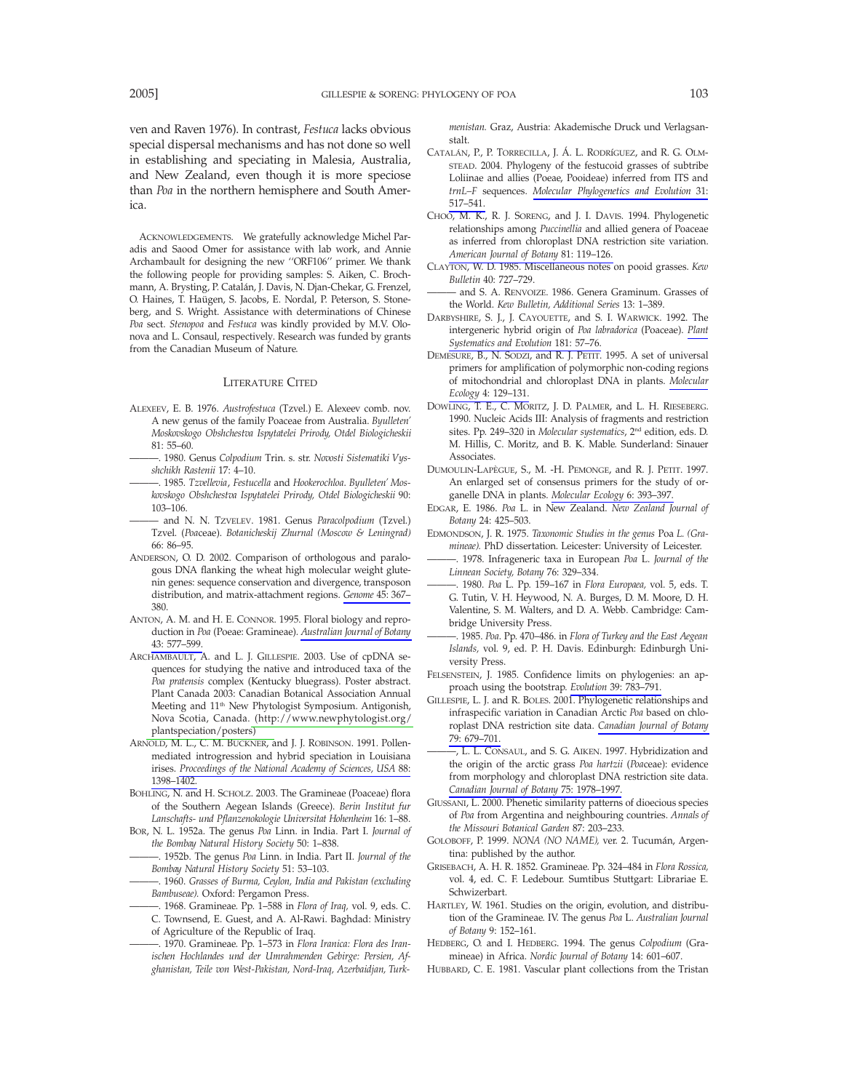ven and Raven 1976). In contrast, Festuca lacks obvious special dispersal mechanisms and has not done so well in establishing and speciating in Malesia, Australia, and New Zealand, even though it is more speciose than Poa in the northern hemisphere and South America

ACKNOWLEDGEMENTS. We gratefully acknowledge Michel Paradis and Saood Omer for assistance with lab work, and Annie Archambault for designing the new "ORF106" primer. We thank the following people for providing samples: S. Aiken, C. Brochmann, A. Brysting, P. Catalán, J. Davis, N. Djan-Chekar, G. Frenzel, O. Haines, T. Haügen, S. Jacobs, E. Nordal, P. Peterson, S. Stoneberg, and S. Wright. Assistance with determinations of Chinese Poa sect. Stenopoa and Festuca was kindly provided by M.V. Olonova and L. Consaul, respectively. Research was funded by grants from the Canadian Museum of Nature.

## **LITERATURE CITED**

- ALEXEEV, E. B. 1976. Austrofestuca (Tzvel.) E. Alexeev comb. nov. A new genus of the family Poaceae from Australia. Byulleten' Moskovskogo Obshchestva Ispytatelei Prirody, Otdel Biologicheskii  $81:55 - 60.$
- -. 1980. Genus Colpodium Trin. s. str. Novosti Sistematiki Vysshchikh Rastenii 17: 4-10.
- -. 1985. Tzvellevia, Festucella and Hookerochloa. Byulleten' Moskovskogo Obshchestva Ispytatelei Prirody, Otdel Biologicheskii 90:  $103 - 106.$
- and N. N. TZVELEV. 1981. Genus Paracolpodium (Tzvel.) Tzvel. (Poaceae). Botanicheskij Zhurnal (Moscow & Leningrad) 66: 86-95.
- ANDERSON, O. D. 2002. Comparison of orthologous and paralogous DNA flanking the wheat high molecular weight glutenin genes: sequence conservation and divergence, transposon distribution, and matrix-attachment regions. Genome 45: 367-380
- ANTON, A. M. and H. E. CONNOR. 1995. Floral biology and reproduction in Poa (Poeae: Gramineae). Australian Journal of Botany 43: 577-599.
- ARCHAMBAULT, A. and L. J. GILLESPIE. 2003. Use of cpDNA sequences for studying the native and introduced taxa of the Poa pratensis complex (Kentucky bluegrass). Poster abstract. Plant Canada 2003: Canadian Botanical Association Annual Meeting and 11<sup>th</sup> New Phytologist Symposium. Antigonish, Nova Scotia, Canada. (http://www.newphytologist.org/ plantspeciation/posters)
- ARNOLD, M. L., C. M. BUCKNER, and J. J. ROBINSON. 1991. Pollenmediated introgression and hybrid speciation in Louisiana irises. Proceedings of the National Academy of Sciences, USA 88:  $1398 - 1402$ .
- BOHLING, N. and H. SCHOLZ. 2003. The Gramineae (Poaceae) flora of the Southern Aegean Islands (Greece). Berin Institut fur Lanschafts- und Pflanzenokologie Universitat Hohenheim 16: 1-88.
- BOR, N. L. 1952a. The genus Poa Linn. in India. Part I. Journal of the Bombay Natural History Society 50: 1-838.
	- -. 1952b. The genus Poa Linn. in India. Part II. Journal of the Bombay Natural History Society 51: 53-103.
	- -. 1960. Grasses of Burma, Ceylon, India and Pakistan (excluding Bambuseae). Oxford: Pergamon Press.
		- 1968. Gramineae. Pp. 1-588 in Flora of Iraq, vol. 9, eds. C. C. Townsend, E. Guest, and A. Al-Rawi. Baghdad: Ministry of Agriculture of the Republic of Iraq.
		- -. 1970. Gramineae. Pp. 1-573 in Flora Iranica: Flora des Iranischen Hochlandes und der Umrahmenden Gebirge: Persien, Afghanistan, Teile von West-Pakistan, Nord-Iraq, Azerbaidjan, Turk-

menistan. Graz, Austria: Akademische Druck und Verlagsanstalt.

- CATALÁN, P., P. TORRECILLA, J. Á. L. RODRÍGUEZ, and R. G. OLM-STEAD. 2004. Phylogeny of the festucoid grasses of subtribe Loliinae and allies (Poeae, Pooideae) inferred from ITS and trnL-F sequences. Molecular Phylogenetics and Evolution 31: 517-541.
- CHOO, M. K., R. J. SORENG, and J. I. DAVIS. 1994. Phylogenetic relationships among Puccinellia and allied genera of Poaceae as inferred from chloroplast DNA restriction site variation. American Journal of Botany 81: 119-126.
- CLAYTON, W. D. 1985. Miscellaneous notes on pooid grasses. Kew Bulletin 40: 727-729.
- and S. A. RENVOIZE. 1986. Genera Graminum. Grasses of the World. Kew Bulletin, Additional Series 13: 1-389.
- DARBYSHIRE, S. J., J. CAYOUETTE, and S. I. WARWICK. 1992. The intergeneric hybrid origin of Poa labradorica (Poaceae). Plant Systematics and Evolution 181: 57-76.
- DEMESURE, B., N. SODZI, and R. J. PETIT. 1995. A set of universal primers for amplification of polymorphic non-coding regions of mitochondrial and chloroplast DNA in plants. Molecular Ecology 4: 129-131.
- DOWLING, T. E., C. MORITZ, J. D. PALMER, and L. H. RIESEBERG. 1990. Nucleic Acids III: Analysis of fragments and restriction sites. Pp. 249-320 in Molecular systematics, 2<sup>nd</sup> edition, eds. D. M. Hillis, C. Moritz, and B. K. Mable. Sunderland: Sinauer Associates.
- DUMOULIN-LAPÈGUE, S., M. -H. PEMONGE, and R. J. PETIT. 1997. An enlarged set of consensus primers for the study of organelle DNA in plants. Molecular Ecology 6: 393-397.
- EDGAR, E. 1986. Poa L. in New Zealand. New Zealand Journal of Botany 24: 425-503.
- EDMONDSON, J. R. 1975. Taxonomic Studies in the genus Poa L. (Gramineae). PhD dissertation. Leicester: University of Leicester.
- -. 1978. Infrageneric taxa in European Poa L. Journal of the Linnean Society, Botany 76: 329-334.
- -. 1980. Poa L. Pp. 159-167 in Flora Europaea, vol. 5, eds. T. G. Tutin, V. H. Heywood, N. A. Burges, D. M. Moore, D. H. Valentine, S. M. Walters, and D. A. Webb. Cambridge: Cambridge University Press.
- -. 1985. Poa. Pp. 470-486. in Flora of Turkey and the East Aegean Islands, vol. 9, ed. P. H. Davis. Edinburgh: Edinburgh University Press.
- FELSENSTEIN, J. 1985. Confidence limits on phylogenies: an approach using the bootstrap. Evolution 39: 783-791.
- GILLESPIE, L. J. and R. BOLES. 2001. Phylogenetic relationships and infraspecific variation in Canadian Arctic Poa based on chloroplast DNA restriction site data. Canadian Journal of Botany 79: 679-701.
- -, L. L. CONSAUL, and S. G. AIKEN. 1997. Hybridization and the origin of the arctic grass Poa hartzii (Poaceae): evidence from morphology and chloroplast DNA restriction site data. Canadian Journal of Botany 75: 1978-1997.
- GIUSSANI, L. 2000. Phenetic similarity patterns of dioecious species of Poa from Argentina and neighbouring countries. Annals of the Missouri Botanical Garden 87: 203-233.
- GOLOBOFF, P. 1999. NONA (NO NAME), ver. 2. Tucumán, Argentina: published by the author.
- GRISEBACH, A. H. R. 1852. Gramineae. Pp. 324-484 in Flora Rossica, vol. 4, ed. C. F. Ledebour. Sumtibus Stuttgart: Librariae E. Schwizerbart.
- HARTLEY, W. 1961. Studies on the origin, evolution, and distribution of the Gramineae. IV. The genus Poa L. Australian Journal of Botany 9: 152-161.
- HEDBERG, O. and I. HEDBERG. 1994. The genus Colpodium (Gramineae) in Africa. Nordic Journal of Botany 14: 601-607.
- HUBBARD, C. E. 1981. Vascular plant collections from the Tristan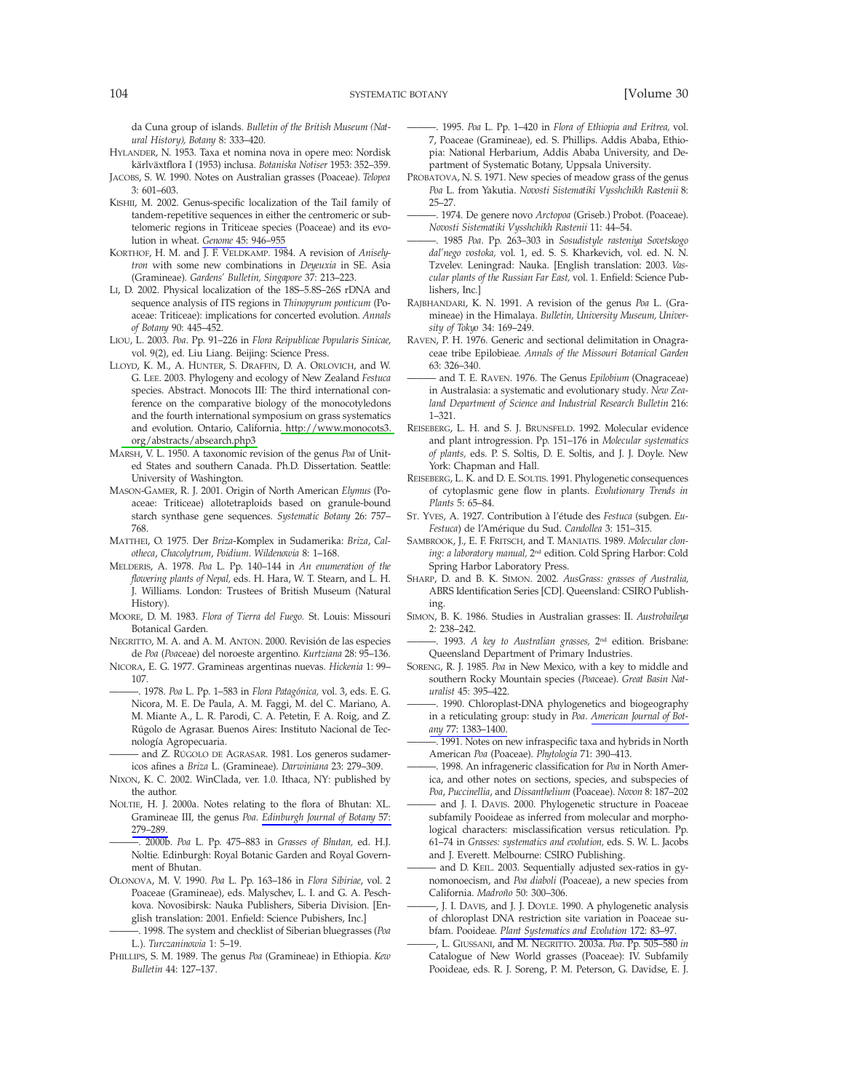da Cuna group of islands. Bulletin of the British Museum (Natural History), Botany 8: 333-420.

- HYLANDER, N. 1953. Taxa et nomina nova in opere meo: Nordisk kärlväxtflora I (1953) inclusa. Botaniska Notiser 1953: 352-359.
- JACOBS, S. W. 1990. Notes on Australian grasses (Poaceae). Telopea  $3:601-603.$
- KISHII, M. 2002. Genus-specific localization of the TaiI family of tandem-repetitive sequences in either the centromeric or subtelomeric regions in Triticeae species (Poaceae) and its evolution in wheat. Genome 45: 946-955
- KORTHOF, H. M. and J. F. VELDKAMP. 1984. A revision of Aniselytron with some new combinations in Deyeuxia in SE. Asia (Gramineae). Gardens' Bulletin, Singapore 37: 213-223.
- LI, D. 2002. Physical localization of the 18S-5.8S-26S rDNA and sequence analysis of ITS regions in Thinopyrum ponticum (Poaceae: Triticeae): implications for concerted evolution. Annals of Botany 90: 445-452.
- LIOU, L. 2003. Poa. Pp. 91-226 in Flora Reipublicae Popularis Sinicae, vol. 9(2), ed. Liu Liang. Beijing: Science Press.
- LLOYD, K. M., A. HUNTER, S. DRAFFIN, D. A. ORLOVICH, and W. G. LEE. 2003. Phylogeny and ecology of New Zealand Festuca species. Abstract. Monocots III: The third international conference on the comparative biology of the monocotyledons and the fourth international symposium on grass systematics and evolution. Ontario, California. http://www.monocots3. org/abstracts/absearch.php3
- MARSH, V. L. 1950. A taxonomic revision of the genus Poa of United States and southern Canada. Ph.D. Dissertation. Seattle: University of Washington.
- MASON-GAMER, R. J. 2001. Origin of North American Elymus (Poaceae: Triticeae) allotetraploids based on granule-bound starch synthase gene sequences. Systematic Botany 26: 757-768.
- MATTHEI, O. 1975. Der Briza-Komplex in Sudamerika: Briza, Calotheca, Chacolytrum, Poidium. Wildenowia 8: 1-168.
- MELDERIS, A. 1978. Poa L. Pp. 140-144 in An enumeration of the flowering plants of Nepal, eds. H. Hara, W. T. Stearn, and L. H. J. Williams. London: Trustees of British Museum (Natural History).
- MOORE, D. M. 1983. Flora of Tierra del Fuego. St. Louis: Missouri Botanical Garden.
- NEGRITTO, M. A. and A. M. ANTON. 2000. Revisión de las especies de Poa (Poaceae) del noroeste argentino. Kurtziana 28: 95-136.
- NICORA, E. G. 1977. Gramineas argentinas nuevas. Hickenia 1: 99-107.
- -. 1978. Poa L. Pp. 1-583 in Flora Patagónica, vol. 3, eds. E. G. Nicora, M. E. De Paula, A. M. Faggi, M. del C. Mariano, A. M. Miante A., L. R. Parodi, C. A. Petetin, F. A. Roig, and Z. Rúgolo de Agrasar. Buenos Aires: Instituto Nacional de Tecnología Agropecuaria.
- and Z. RÚGOLO DE AGRASAR. 1981. Los generos sudamericos afines a Briza L. (Gramineae). Darwiniana 23: 279-309.
- NIXON, K. C. 2002. WinClada, ver. 1.0. Ithaca, NY: published by the author.
- NOLTIE, H. J. 2000a. Notes relating to the flora of Bhutan: XL. Gramineae III, the genus Poa. Edinburgh Journal of Botany 57: 279-289.
- -. 2000b. Poa L. Pp. 475-883 in Grasses of Bhutan, ed. H.J. Noltie. Edinburgh: Royal Botanic Garden and Royal Government of Bhutan.
- OLONOVA, M. V. 1990. Poa L. Pp. 163-186 in Flora Sibiriae, vol. 2 Poaceae (Gramineae), eds. Malyschev, L. I. and G. A. Peschkova. Novosibirsk: Nauka Publishers, Siberia Division. [English translation: 2001. Enfield: Science Pubishers, Inc.]

-. 1998. The system and checklist of Siberian bluegrasses (Poa L.). Turczaninowia 1: 5-19.

PHILLIPS, S. M. 1989. The genus Poa (Gramineae) in Ethiopia. Kew Bulletin 44: 127-137.

-. 1995. Poa L. Pp. 1-420 in Flora of Ethiopia and Eritrea, vol. 7, Poaceae (Gramineae), ed. S. Phillips. Addis Ababa, Ethiopia: National Herbarium, Addis Ababa University, and Department of Systematic Botany, Uppsala University.

- PROBATOVA, N. S. 1971. New species of meadow grass of the genus Poa L. from Yakutia. Novosti Sistematiki Vysshchikh Rastenii 8:  $25 - 27$
- -. 1974. De genere novo Arctopoa (Griseb.) Probot. (Poaceae). Novosti Sistematiki Vysshchikh Rastenii 11: 44-54.
- -. 1985 Poa. Pp. 263-303 in Sosudistyle rasteniya Sovetskogo dal'nego vostoka, vol. 1, ed. S. S. Kharkevich, vol. ed. N. N. Tzvelev. Leningrad: Nauka. [English translation: 2003. Vascular plants of the Russian Far East, vol. 1. Enfield: Science Publishers, Inc.]
- RAJBHANDARI, K. N. 1991. A revision of the genus Poa L. (Gramineae) in the Himalaya. Bulletin, University Museum, University of Tokyo 34: 169-249.
- RAVEN, P. H. 1976. Generic and sectional delimitation in Onagraceae tribe Epilobieae. Annals of the Missouri Botanical Garden 63: 326-340.
- and T. E. RAVEN. 1976. The Genus Epilobium (Onagraceae) in Australasia: a systematic and evolutionary study. New Zealand Department of Science and Industrial Research Bulletin 216:  $1 - 321.$
- REISEBERG, L. H. and S. J. BRUNSFELD. 1992. Molecular evidence and plant introgression. Pp. 151-176 in Molecular systematics of plants, eds. P. S. Soltis, D. E. Soltis, and J. J. Doyle. New York: Chapman and Hall.
- REISEBERG, L. K. and D. E. SOLTIS. 1991. Phylogenetic consequences of cytoplasmic gene flow in plants. Evolutionary Trends in Plants 5: 65-84.
- ST. YVES, A. 1927. Contribution à l'étude des Festuca (subgen. Eu-Festuca) de l'Amérique du Sud. Candollea 3: 151-315.
- SAMBROOK, J., E. F. FRITSCH, and T. MANIATIS. 1989. Molecular cloning: a laboratory manual, 2<sup>nd</sup> edition. Cold Spring Harbor: Cold Spring Harbor Laboratory Press.
- SHARP, D. and B. K. SIMON. 2002. AusGrass: grasses of Australia, ABRS Identification Series [CD]. Queensland: CSIRO Publishing.
- SIMON, B. K. 1986. Studies in Australian grasses: II. Austrobaileya 2: 238-242.
- -. 1993. A key to Australian grasses, 2<sup>nd</sup> edition. Brisbane: Queensland Department of Primary Industries.
- SORENG, R. J. 1985. Poa in New Mexico, with a key to middle and southern Rocky Mountain species (Poaceae). Great Basin Naturalist 45: 395-422.
- -. 1990. Chloroplast-DNA phylogenetics and biogeography in a reticulating group: study in Poa. American Journal of Botany 77: 1383-1400.
- -. 1991. Notes on new infraspecific taxa and hybrids in North American Poa (Poaceae). Phytologia 71: 390-413.
- -. 1998. An infrageneric classification for Poa in North America, and other notes on sections, species, and subspecies of Poa, Puccinellia, and Dissanthelium (Poaceae). Novon 8: 187-202
- and J. I. DAVIS. 2000. Phylogenetic structure in Poaceae subfamily Pooideae as inferred from molecular and morphological characters: misclassification versus reticulation. Pp. 61-74 in Grasses: systematics and evolution, eds. S. W. L. Jacobs and J. Everett. Melbourne: CSIRO Publishing.
- and D. KEIL. 2003. Sequentially adjusted sex-ratios in gynomonoecism, and Poa diaboli (Poaceae), a new species from California. Madroño 50: 300-306.
- -, J. I. DAVIS, and J. J. DOYLE. 1990. A phylogenetic analysis of chloroplast DNA restriction site variation in Poaceae subfam. Pooideae. Plant Systematics and Evolution 172: 83-97.
- -, L. GIUSSANI, and M. NEGRITTO. 2003a. Poa. Pp. 505-580 in Catalogue of New World grasses (Poaceae): IV. Subfamily Pooideae, eds. R. J. Soreng, P. M. Peterson, G. Davidse, E. J.